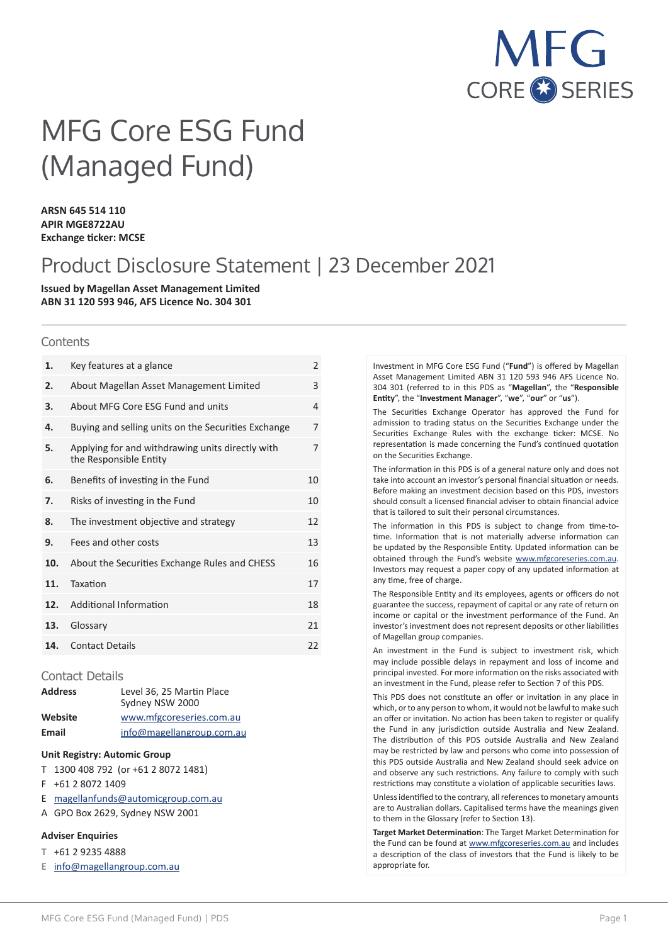

# MFG Core ESG Fund (Managed Fund)

**ARSN 645 514 110 APIR MGE8722AU Exchange ticker: MCSE**

# Product Disclosure Statement | 23 December 2021

**Issued by Magellan Asset Management Limited ABN 31 120 593 946, AFS Licence No. 304 301**

#### **Contents**

| 1.  | Key features at a glance                                                   | $\overline{2}$ |
|-----|----------------------------------------------------------------------------|----------------|
| 2.  | About Magellan Asset Management Limited                                    | 3              |
| 3.  | About MFG Core ESG Fund and units                                          | $\overline{4}$ |
| 4.  | Buying and selling units on the Securities Exchange                        | 7              |
| 5.  | Applying for and withdrawing units directly with<br>the Responsible Entity | 7              |
| 6.  | Benefits of investing in the Fund                                          | 10             |
| 7.  | Risks of investing in the Fund                                             | 10             |
| 8.  | The investment objective and strategy                                      | 12             |
| 9.  | Fees and other costs                                                       | 13             |
| 10. | About the Securities Exchange Rules and CHESS                              | 16             |
| 11. | Taxation                                                                   | 17             |
| 12. | Additional Information                                                     | 18             |
| 13. | Glossary                                                                   | 21             |
| 14. | <b>Contact Details</b>                                                     | 22             |
|     |                                                                            |                |

## Contact Details

| <b>Address</b> | Level 36, 25 Martin Place<br>Sydney NSW 2000 |
|----------------|----------------------------------------------|
| Website        | www.mfgcoreseries.com.au                     |
| Email          | info@magellangroup.com.au                    |

# **Unit Registry: Automic Group**

- T 1300 408 792 (or +61 2 8072 1481)
- F +61 2 8072 1409
- E magellanfunds@automicgroup.com.au
- A GPO Box 2629, Sydney NSW 2001

# **Adviser Enquiries**

- **T** +61 2 9235 4888
- **E** info@magellangroup.com.au

Investment in MFG Core ESG Fund ("**Fund**") is offered by Magellan Asset Management Limited ABN 31 120 593 946 AFS Licence No. 304 301 (referred to in this PDS as "**Magellan**", the "**Responsible Entity**", the "**Investment Manager**", "**we**", "**our**" or "**us**").

The Securities Exchange Operator has approved the Fund for admission to trading status on the Securities Exchange under the Securities Exchange Rules with the exchange ticker: MCSE. No representation is made concerning the Fund's continued quotation on the Securities Exchange.

The information in this PDS is of a general nature only and does not take into account an investor's personal financial situation or needs. Before making an investment decision based on this PDS, investors should consult a licensed financial adviser to obtain financial advice that is tailored to suit their personal circumstances.

The information in this PDS is subject to change from time-totime. Information that is not materially adverse information can be updated by the Responsible Entity. Updated information can be obtained through the Fund's website www.mfgcoreseries.com.au. Investors may request a paper copy of any updated information at any time, free of charge.

The Responsible Entity and its employees, agents or officers do not guarantee the success, repayment of capital or any rate of return on income or capital or the investment performance of the Fund. An investor's investment does not represent deposits or other liabilities of Magellan group companies.

An investment in the Fund is subject to investment risk, which may include possible delays in repayment and loss of income and principal invested. For more information on the risks associated with an investment in the Fund, please refer to Section 7 of this PDS.

This PDS does not constitute an offer or invitation in any place in which, or to any person to whom, it would not be lawful to make such an offer or invitation. No action has been taken to register or qualify the Fund in any jurisdiction outside Australia and New Zealand. The distribution of this PDS outside Australia and New Zealand may be restricted by law and persons who come into possession of this PDS outside Australia and New Zealand should seek advice on and observe any such restrictions. Any failure to comply with such restrictions may constitute a violation of applicable securities laws.

Unless identified to the contrary, all references to monetary amounts are to Australian dollars. Capitalised terms have the meanings given to them in the Glossary (refer to Section 13).

**Target Market Determination**: The Target Market Determination for the Fund can be found at www.mfgcoreseries.com.au and includes a description of the class of investors that the Fund is likely to be appropriate for.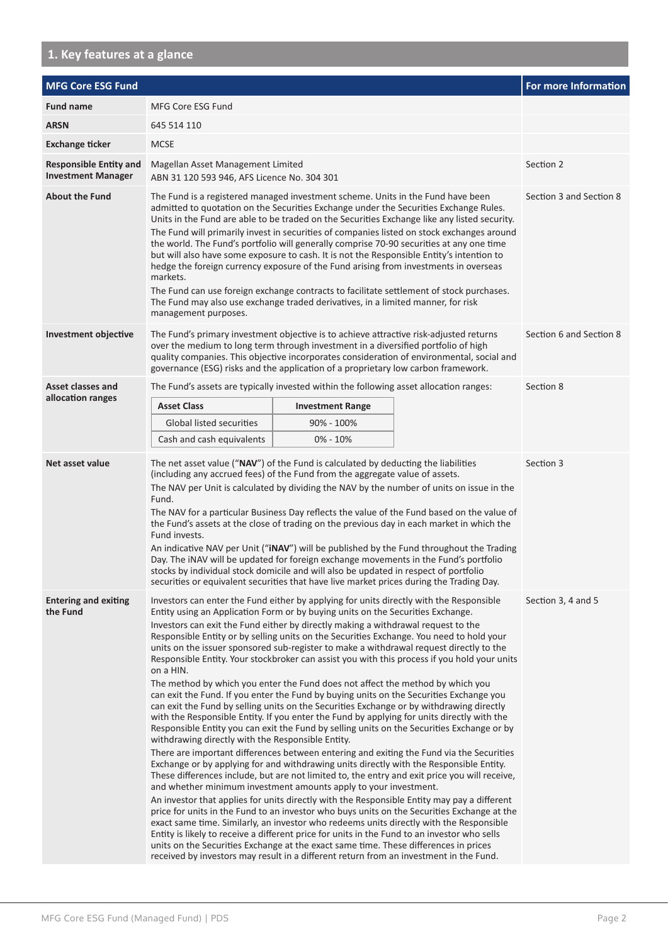# **1. Key features at a glance**

| <b>MFG Core ESG Fund</b>                                   |                                                                                                                                                                                                                                                                                                                                                                                                                                                                                                                                                                                                                                                                                                                                                                                                                                                                                                                                                                                                                                                                                                                                                                                                                                                                                                                                                                                                                                                                                                                                                                                                                                                                                                                                                                                                                                                                                                                                                                                                                                      |                         |                    | <b>For more Information</b> |
|------------------------------------------------------------|--------------------------------------------------------------------------------------------------------------------------------------------------------------------------------------------------------------------------------------------------------------------------------------------------------------------------------------------------------------------------------------------------------------------------------------------------------------------------------------------------------------------------------------------------------------------------------------------------------------------------------------------------------------------------------------------------------------------------------------------------------------------------------------------------------------------------------------------------------------------------------------------------------------------------------------------------------------------------------------------------------------------------------------------------------------------------------------------------------------------------------------------------------------------------------------------------------------------------------------------------------------------------------------------------------------------------------------------------------------------------------------------------------------------------------------------------------------------------------------------------------------------------------------------------------------------------------------------------------------------------------------------------------------------------------------------------------------------------------------------------------------------------------------------------------------------------------------------------------------------------------------------------------------------------------------------------------------------------------------------------------------------------------------|-------------------------|--------------------|-----------------------------|
| <b>Fund name</b>                                           | MFG Core ESG Fund                                                                                                                                                                                                                                                                                                                                                                                                                                                                                                                                                                                                                                                                                                                                                                                                                                                                                                                                                                                                                                                                                                                                                                                                                                                                                                                                                                                                                                                                                                                                                                                                                                                                                                                                                                                                                                                                                                                                                                                                                    |                         |                    |                             |
| <b>ARSN</b>                                                | 645 514 110                                                                                                                                                                                                                                                                                                                                                                                                                                                                                                                                                                                                                                                                                                                                                                                                                                                                                                                                                                                                                                                                                                                                                                                                                                                                                                                                                                                                                                                                                                                                                                                                                                                                                                                                                                                                                                                                                                                                                                                                                          |                         |                    |                             |
| <b>Exchange ticker</b>                                     | <b>MCSE</b>                                                                                                                                                                                                                                                                                                                                                                                                                                                                                                                                                                                                                                                                                                                                                                                                                                                                                                                                                                                                                                                                                                                                                                                                                                                                                                                                                                                                                                                                                                                                                                                                                                                                                                                                                                                                                                                                                                                                                                                                                          |                         |                    |                             |
| <b>Responsible Entity and</b><br><b>Investment Manager</b> | Magellan Asset Management Limited<br>ABN 31 120 593 946, AFS Licence No. 304 301                                                                                                                                                                                                                                                                                                                                                                                                                                                                                                                                                                                                                                                                                                                                                                                                                                                                                                                                                                                                                                                                                                                                                                                                                                                                                                                                                                                                                                                                                                                                                                                                                                                                                                                                                                                                                                                                                                                                                     |                         |                    | Section 2                   |
| <b>About the Fund</b>                                      | The Fund is a registered managed investment scheme. Units in the Fund have been<br>admitted to quotation on the Securities Exchange under the Securities Exchange Rules.<br>Units in the Fund are able to be traded on the Securities Exchange like any listed security.<br>The Fund will primarily invest in securities of companies listed on stock exchanges around<br>the world. The Fund's portfolio will generally comprise 70-90 securities at any one time<br>but will also have some exposure to cash. It is not the Responsible Entity's intention to<br>hedge the foreign currency exposure of the Fund arising from investments in overseas<br>markets.<br>The Fund can use foreign exchange contracts to facilitate settlement of stock purchases.<br>The Fund may also use exchange traded derivatives, in a limited manner, for risk<br>management purposes.                                                                                                                                                                                                                                                                                                                                                                                                                                                                                                                                                                                                                                                                                                                                                                                                                                                                                                                                                                                                                                                                                                                                                          |                         |                    | Section 3 and Section 8     |
| <b>Investment objective</b>                                | The Fund's primary investment objective is to achieve attractive risk-adjusted returns<br>over the medium to long term through investment in a diversified portfolio of high<br>quality companies. This objective incorporates consideration of environmental, social and<br>governance (ESG) risks and the application of a proprietary low carbon framework.                                                                                                                                                                                                                                                                                                                                                                                                                                                                                                                                                                                                                                                                                                                                                                                                                                                                                                                                                                                                                                                                                                                                                                                                                                                                                                                                                                                                                                                                                                                                                                                                                                                                       |                         |                    | Section 6 and Section 8     |
| <b>Asset classes and</b>                                   | The Fund's assets are typically invested within the following asset allocation ranges:                                                                                                                                                                                                                                                                                                                                                                                                                                                                                                                                                                                                                                                                                                                                                                                                                                                                                                                                                                                                                                                                                                                                                                                                                                                                                                                                                                                                                                                                                                                                                                                                                                                                                                                                                                                                                                                                                                                                               | Section 8               |                    |                             |
| allocation ranges                                          | <b>Asset Class</b>                                                                                                                                                                                                                                                                                                                                                                                                                                                                                                                                                                                                                                                                                                                                                                                                                                                                                                                                                                                                                                                                                                                                                                                                                                                                                                                                                                                                                                                                                                                                                                                                                                                                                                                                                                                                                                                                                                                                                                                                                   | <b>Investment Range</b> |                    |                             |
|                                                            | Global listed securities                                                                                                                                                                                                                                                                                                                                                                                                                                                                                                                                                                                                                                                                                                                                                                                                                                                                                                                                                                                                                                                                                                                                                                                                                                                                                                                                                                                                                                                                                                                                                                                                                                                                                                                                                                                                                                                                                                                                                                                                             | 90% - 100%              |                    |                             |
|                                                            | Cash and cash equivalents                                                                                                                                                                                                                                                                                                                                                                                                                                                                                                                                                                                                                                                                                                                                                                                                                                                                                                                                                                                                                                                                                                                                                                                                                                                                                                                                                                                                                                                                                                                                                                                                                                                                                                                                                                                                                                                                                                                                                                                                            | $0\% - 10\%$            |                    |                             |
| Net asset value                                            | The net asset value ("NAV") of the Fund is calculated by deducting the liabilities<br>(including any accrued fees) of the Fund from the aggregate value of assets.<br>The NAV per Unit is calculated by dividing the NAV by the number of units on issue in the<br>Fund.<br>The NAV for a particular Business Day reflects the value of the Fund based on the value of<br>the Fund's assets at the close of trading on the previous day in each market in which the<br>Fund invests.<br>An indicative NAV per Unit ("iNAV") will be published by the Fund throughout the Trading<br>Day. The INAV will be updated for foreign exchange movements in the Fund's portfolio<br>stocks by individual stock domicile and will also be updated in respect of portfolio<br>securities or equivalent securities that have live market prices during the Trading Day.                                                                                                                                                                                                                                                                                                                                                                                                                                                                                                                                                                                                                                                                                                                                                                                                                                                                                                                                                                                                                                                                                                                                                                         |                         |                    | Section 3                   |
| <b>Entering and exiting</b><br>the Fund                    | Investors can enter the Fund either by applying for units directly with the Responsible<br>Entity using an Application Form or by buying units on the Securities Exchange.<br>Investors can exit the Fund either by directly making a withdrawal request to the<br>Responsible Entity or by selling units on the Securities Exchange. You need to hold your<br>units on the issuer sponsored sub-register to make a withdrawal request directly to the<br>Responsible Entity. Your stockbroker can assist you with this process if you hold your units<br>on a HIN.<br>The method by which you enter the Fund does not affect the method by which you<br>can exit the Fund. If you enter the Fund by buying units on the Securities Exchange you<br>can exit the Fund by selling units on the Securities Exchange or by withdrawing directly<br>with the Responsible Entity. If you enter the Fund by applying for units directly with the<br>Responsible Entity you can exit the Fund by selling units on the Securities Exchange or by<br>withdrawing directly with the Responsible Entity.<br>There are important differences between entering and exiting the Fund via the Securities<br>Exchange or by applying for and withdrawing units directly with the Responsible Entity.<br>These differences include, but are not limited to, the entry and exit price you will receive,<br>and whether minimum investment amounts apply to your investment.<br>An investor that applies for units directly with the Responsible Entity may pay a different<br>price for units in the Fund to an investor who buys units on the Securities Exchange at the<br>exact same time. Similarly, an investor who redeems units directly with the Responsible<br>Entity is likely to receive a different price for units in the Fund to an investor who sells<br>units on the Securities Exchange at the exact same time. These differences in prices<br>received by investors may result in a different return from an investment in the Fund. |                         | Section 3, 4 and 5 |                             |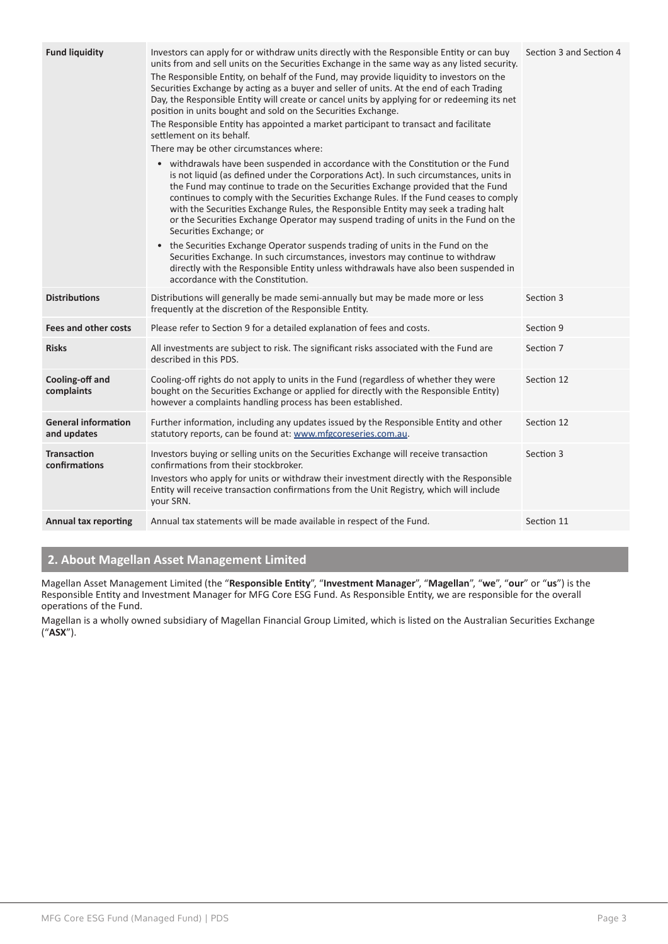| <b>Fund liquidity</b>                     | Investors can apply for or withdraw units directly with the Responsible Entity or can buy<br>units from and sell units on the Securities Exchange in the same way as any listed security.<br>The Responsible Entity, on behalf of the Fund, may provide liquidity to investors on the<br>Securities Exchange by acting as a buyer and seller of units. At the end of each Trading<br>Day, the Responsible Entity will create or cancel units by applying for or redeeming its net<br>position in units bought and sold on the Securities Exchange.<br>The Responsible Entity has appointed a market participant to transact and facilitate<br>settlement on its behalf.<br>There may be other circumstances where:<br>• withdrawals have been suspended in accordance with the Constitution or the Fund<br>is not liquid (as defined under the Corporations Act). In such circumstances, units in<br>the Fund may continue to trade on the Securities Exchange provided that the Fund<br>continues to comply with the Securities Exchange Rules. If the Fund ceases to comply<br>with the Securities Exchange Rules, the Responsible Entity may seek a trading halt<br>or the Securities Exchange Operator may suspend trading of units in the Fund on the<br>Securities Exchange; or<br>• the Securities Exchange Operator suspends trading of units in the Fund on the<br>Securities Exchange. In such circumstances, investors may continue to withdraw<br>directly with the Responsible Entity unless withdrawals have also been suspended in<br>accordance with the Constitution. | Section 3 and Section 4 |
|-------------------------------------------|----------------------------------------------------------------------------------------------------------------------------------------------------------------------------------------------------------------------------------------------------------------------------------------------------------------------------------------------------------------------------------------------------------------------------------------------------------------------------------------------------------------------------------------------------------------------------------------------------------------------------------------------------------------------------------------------------------------------------------------------------------------------------------------------------------------------------------------------------------------------------------------------------------------------------------------------------------------------------------------------------------------------------------------------------------------------------------------------------------------------------------------------------------------------------------------------------------------------------------------------------------------------------------------------------------------------------------------------------------------------------------------------------------------------------------------------------------------------------------------------------------------------------------------------------------------------------------------|-------------------------|
| <b>Distributions</b>                      | Distributions will generally be made semi-annually but may be made more or less<br>frequently at the discretion of the Responsible Entity.                                                                                                                                                                                                                                                                                                                                                                                                                                                                                                                                                                                                                                                                                                                                                                                                                                                                                                                                                                                                                                                                                                                                                                                                                                                                                                                                                                                                                                             | Section 3               |
| <b>Fees and other costs</b>               | Please refer to Section 9 for a detailed explanation of fees and costs.                                                                                                                                                                                                                                                                                                                                                                                                                                                                                                                                                                                                                                                                                                                                                                                                                                                                                                                                                                                                                                                                                                                                                                                                                                                                                                                                                                                                                                                                                                                | Section 9               |
| <b>Risks</b>                              | All investments are subject to risk. The significant risks associated with the Fund are<br>described in this PDS.                                                                                                                                                                                                                                                                                                                                                                                                                                                                                                                                                                                                                                                                                                                                                                                                                                                                                                                                                                                                                                                                                                                                                                                                                                                                                                                                                                                                                                                                      | Section 7               |
| Cooling-off and<br>complaints             | Cooling-off rights do not apply to units in the Fund (regardless of whether they were<br>bought on the Securities Exchange or applied for directly with the Responsible Entity)<br>however a complaints handling process has been established.                                                                                                                                                                                                                                                                                                                                                                                                                                                                                                                                                                                                                                                                                                                                                                                                                                                                                                                                                                                                                                                                                                                                                                                                                                                                                                                                         | Section 12              |
| <b>General information</b><br>and updates | Further information, including any updates issued by the Responsible Entity and other<br>statutory reports, can be found at: www.mfgcoreseries.com.au.                                                                                                                                                                                                                                                                                                                                                                                                                                                                                                                                                                                                                                                                                                                                                                                                                                                                                                                                                                                                                                                                                                                                                                                                                                                                                                                                                                                                                                 | Section 12              |
| <b>Transaction</b><br>confirmations       | Investors buying or selling units on the Securities Exchange will receive transaction<br>confirmations from their stockbroker.<br>Investors who apply for units or withdraw their investment directly with the Responsible<br>Entity will receive transaction confirmations from the Unit Registry, which will include<br>your SRN.                                                                                                                                                                                                                                                                                                                                                                                                                                                                                                                                                                                                                                                                                                                                                                                                                                                                                                                                                                                                                                                                                                                                                                                                                                                    | Section 3               |
| <b>Annual tax reporting</b>               | Annual tax statements will be made available in respect of the Fund.                                                                                                                                                                                                                                                                                                                                                                                                                                                                                                                                                                                                                                                                                                                                                                                                                                                                                                                                                                                                                                                                                                                                                                                                                                                                                                                                                                                                                                                                                                                   | Section 11              |

# **2. About Magellan Asset Management Limited**

Magellan Asset Management Limited (the "**Responsible Entity**", "**Investment Manager**", "**Magellan**", "**we**", "**our**" or "**us**") is the Responsible Entity and Investment Manager for MFG Core ESG Fund. As Responsible Entity, we are responsible for the overall operations of the Fund.

Magellan is a wholly owned subsidiary of Magellan Financial Group Limited, which is listed on the Australian Securities Exchange ("**ASX**").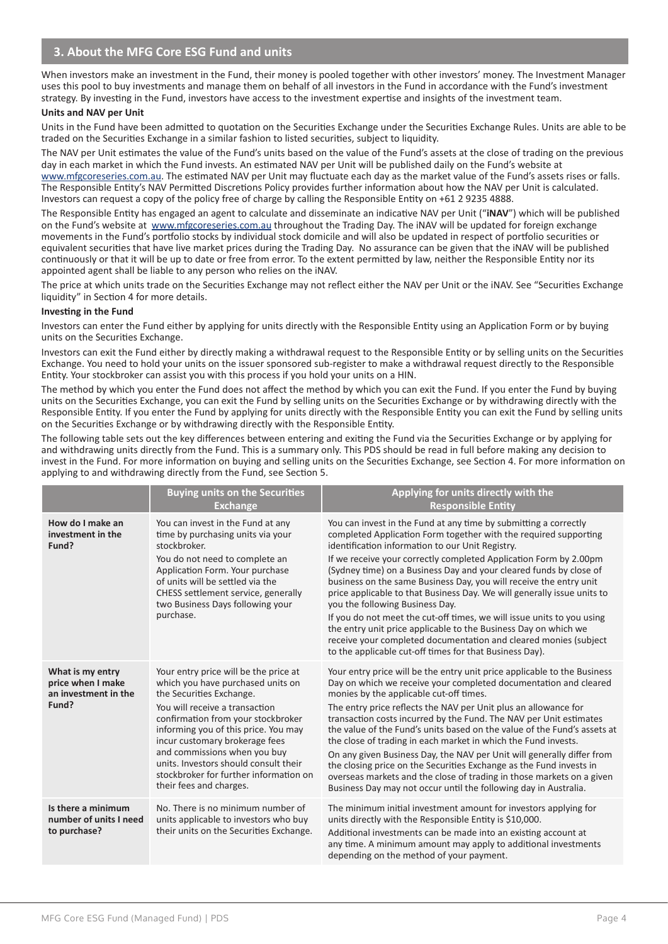When investors make an investment in the Fund, their money is pooled together with other investors' money. The Investment Manager uses this pool to buy investments and manage them on behalf of all investors in the Fund in accordance with the Fund's investment strategy. By investing in the Fund, investors have access to the investment expertise and insights of the investment team.

#### **Units and NAV per Unit**

Units in the Fund have been admitted to quotation on the Securities Exchange under the Securities Exchange Rules. Units are able to be traded on the Securities Exchange in a similar fashion to listed securities, subject to liquidity.

The NAV per Unit estimates the value of the Fund's units based on the value of the Fund's assets at the close of trading on the previous day in each market in which the Fund invests. An estimated NAV per Unit will be published daily on the Fund's website at www.mfgcoreseries.com.au. The estimated NAV per Unit may fluctuate each day as the market value of the Fund's assets rises or falls. The Responsible Entity's NAV Permitted Discretions Policy provides further information about how the NAV per Unit is calculated. Investors can request a copy of the policy free of charge by calling the Responsible Entity on +61 2 9235 4888.

The Responsible Entity has engaged an agent to calculate and disseminate an indicative NAV per Unit ("**iNAV**") which will be published on the Fund's website at www.mfgcoreseries.com.au throughout the Trading Day. The iNAV will be updated for foreign exchange movements in the Fund's portfolio stocks by individual stock domicile and will also be updated in respect of portfolio securities or equivalent securities that have live market prices during the Trading Day. No assurance can be given that the iNAV will be published continuously or that it will be up to date or free from error. To the extent permitted by law, neither the Responsible Entity nor its appointed agent shall be liable to any person who relies on the iNAV.

The price at which units trade on the Securities Exchange may not reflect either the NAV per Unit or the iNAV. See "Securities Exchange liquidity" in Section 4 for more details.

#### **Investing in the Fund**

Investors can enter the Fund either by applying for units directly with the Responsible Entity using an Application Form or by buying units on the Securities Exchange.

Investors can exit the Fund either by directly making a withdrawal request to the Responsible Entity or by selling units on the Securities Exchange. You need to hold your units on the issuer sponsored sub-register to make a withdrawal request directly to the Responsible Entity. Your stockbroker can assist you with this process if you hold your units on a HIN.

The method by which you enter the Fund does not affect the method by which you can exit the Fund. If you enter the Fund by buying units on the Securities Exchange, you can exit the Fund by selling units on the Securities Exchange or by withdrawing directly with the Responsible Entity. If you enter the Fund by applying for units directly with the Responsible Entity you can exit the Fund by selling units on the Securities Exchange or by withdrawing directly with the Responsible Entity.

The following table sets out the key differences between entering and exiting the Fund via the Securities Exchange or by applying for and withdrawing units directly from the Fund. This is a summary only. This PDS should be read in full before making any decision to invest in the Fund. For more information on buying and selling units on the Securities Exchange, see Section 4. For more information on applying to and withdrawing directly from the Fund, see Section 5.

|                                                                        | <b>Buying units on the Securities</b><br><b>Exchange</b>                                                                                                                                                                                                                                                                                                                                               | Applying for units directly with the<br><b>Responsible Entity</b>                                                                                                                                                                                                                                                                                                                                                                                                                                                                                                                                                                                                                                                                                                                                   |
|------------------------------------------------------------------------|--------------------------------------------------------------------------------------------------------------------------------------------------------------------------------------------------------------------------------------------------------------------------------------------------------------------------------------------------------------------------------------------------------|-----------------------------------------------------------------------------------------------------------------------------------------------------------------------------------------------------------------------------------------------------------------------------------------------------------------------------------------------------------------------------------------------------------------------------------------------------------------------------------------------------------------------------------------------------------------------------------------------------------------------------------------------------------------------------------------------------------------------------------------------------------------------------------------------------|
| How do I make an<br>investment in the<br>Fund?                         | You can invest in the Fund at any<br>time by purchasing units via your<br>stockbroker.<br>You do not need to complete an<br>Application Form. Your purchase<br>of units will be settled via the<br>CHESS settlement service, generally<br>two Business Days following your<br>purchase.                                                                                                                | You can invest in the Fund at any time by submitting a correctly<br>completed Application Form together with the required supporting<br>identification information to our Unit Registry.<br>If we receive your correctly completed Application Form by 2.00pm<br>(Sydney time) on a Business Day and your cleared funds by close of<br>business on the same Business Day, you will receive the entry unit<br>price applicable to that Business Day. We will generally issue units to<br>you the following Business Day.<br>If you do not meet the cut-off times, we will issue units to you using<br>the entry unit price applicable to the Business Day on which we<br>receive your completed documentation and cleared monies (subject<br>to the applicable cut-off times for that Business Day). |
| What is my entry<br>price when I make<br>an investment in the<br>Fund? | Your entry price will be the price at<br>which you have purchased units on<br>the Securities Exchange.<br>You will receive a transaction<br>confirmation from your stockbroker<br>informing you of this price. You may<br>incur customary brokerage fees<br>and commissions when you buy<br>units. Investors should consult their<br>stockbroker for further information on<br>their fees and charges. | Your entry price will be the entry unit price applicable to the Business<br>Day on which we receive your completed documentation and cleared<br>monies by the applicable cut-off times.<br>The entry price reflects the NAV per Unit plus an allowance for<br>transaction costs incurred by the Fund. The NAV per Unit estimates<br>the value of the Fund's units based on the value of the Fund's assets at<br>the close of trading in each market in which the Fund invests.<br>On any given Business Day, the NAV per Unit will generally differ from<br>the closing price on the Securities Exchange as the Fund invests in<br>overseas markets and the close of trading in those markets on a given<br>Business Day may not occur until the following day in Australia.                        |
| Is there a minimum<br>number of units I need<br>to purchase?           | No. There is no minimum number of<br>units applicable to investors who buy<br>their units on the Securities Exchange.                                                                                                                                                                                                                                                                                  | The minimum initial investment amount for investors applying for<br>units directly with the Responsible Entity is \$10,000.<br>Additional investments can be made into an existing account at<br>any time. A minimum amount may apply to additional investments<br>depending on the method of your payment.                                                                                                                                                                                                                                                                                                                                                                                                                                                                                         |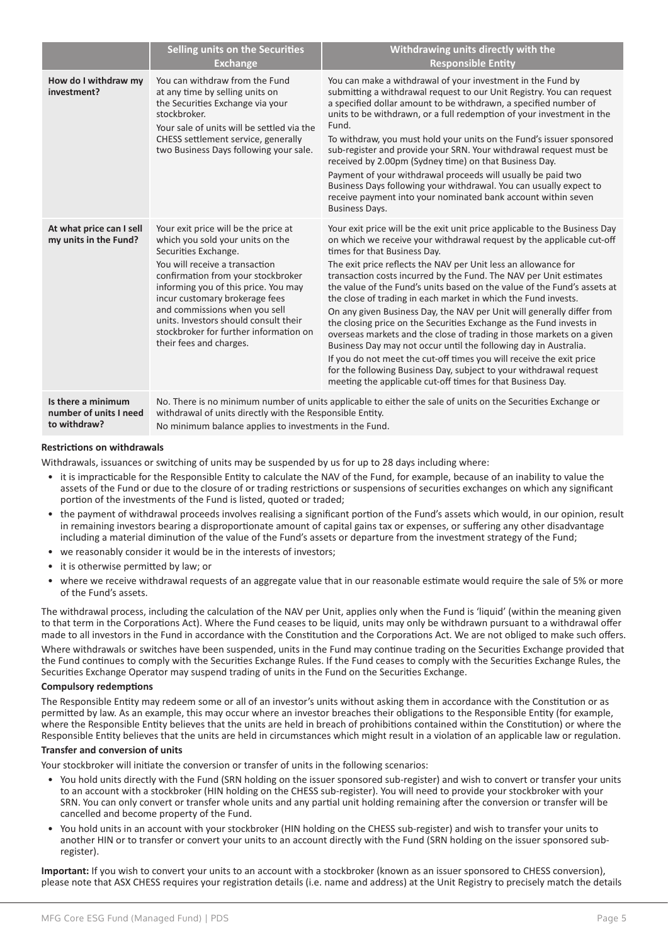|                                                              | Selling units on the Securities<br><b>Exchange</b>                                                                                                                                                                                                                                                                                                                                                | Withdrawing units directly with the<br><b>Responsible Entity</b>                                                                                                                                                                                                                                                                                                                                                                                                                                                                                                                                                                                                                                                                                                                                                                                                                                                                                                                     |
|--------------------------------------------------------------|---------------------------------------------------------------------------------------------------------------------------------------------------------------------------------------------------------------------------------------------------------------------------------------------------------------------------------------------------------------------------------------------------|--------------------------------------------------------------------------------------------------------------------------------------------------------------------------------------------------------------------------------------------------------------------------------------------------------------------------------------------------------------------------------------------------------------------------------------------------------------------------------------------------------------------------------------------------------------------------------------------------------------------------------------------------------------------------------------------------------------------------------------------------------------------------------------------------------------------------------------------------------------------------------------------------------------------------------------------------------------------------------------|
| How do I withdraw my<br>investment?                          | You can withdraw from the Fund<br>at any time by selling units on<br>the Securities Exchange via your<br>stockbroker.<br>Your sale of units will be settled via the<br>CHESS settlement service, generally<br>two Business Days following your sale.                                                                                                                                              | You can make a withdrawal of your investment in the Fund by<br>submitting a withdrawal request to our Unit Registry. You can request<br>a specified dollar amount to be withdrawn, a specified number of<br>units to be withdrawn, or a full redemption of your investment in the<br>Fund.<br>To withdraw, you must hold your units on the Fund's issuer sponsored<br>sub-register and provide your SRN. Your withdrawal request must be<br>received by 2.00pm (Sydney time) on that Business Day.<br>Payment of your withdrawal proceeds will usually be paid two<br>Business Days following your withdrawal. You can usually expect to<br>receive payment into your nominated bank account within seven<br><b>Business Days.</b>                                                                                                                                                                                                                                                   |
| At what price can I sell<br>my units in the Fund?            | Your exit price will be the price at<br>which you sold your units on the<br>Securities Exchange.<br>You will receive a transaction<br>confirmation from your stockbroker<br>informing you of this price. You may<br>incur customary brokerage fees<br>and commissions when you sell<br>units. Investors should consult their<br>stockbroker for further information on<br>their fees and charges. | Your exit price will be the exit unit price applicable to the Business Day<br>on which we receive your withdrawal request by the applicable cut-off<br>times for that Business Day.<br>The exit price reflects the NAV per Unit less an allowance for<br>transaction costs incurred by the Fund. The NAV per Unit estimates<br>the value of the Fund's units based on the value of the Fund's assets at<br>the close of trading in each market in which the Fund invests.<br>On any given Business Day, the NAV per Unit will generally differ from<br>the closing price on the Securities Exchange as the Fund invests in<br>overseas markets and the close of trading in those markets on a given<br>Business Day may not occur until the following day in Australia.<br>If you do not meet the cut-off times you will receive the exit price<br>for the following Business Day, subject to your withdrawal request<br>meeting the applicable cut-off times for that Business Day. |
| Is there a minimum<br>number of units I need<br>to withdraw? | withdrawal of units directly with the Responsible Entity.<br>No minimum balance applies to investments in the Fund.                                                                                                                                                                                                                                                                               | No. There is no minimum number of units applicable to either the sale of units on the Securities Exchange or                                                                                                                                                                                                                                                                                                                                                                                                                                                                                                                                                                                                                                                                                                                                                                                                                                                                         |

#### **Restrictions on withdrawals**

Withdrawals, issuances or switching of units may be suspended by us for up to 28 days including where:

- it is impracticable for the Responsible Entity to calculate the NAV of the Fund, for example, because of an inability to value the assets of the Fund or due to the closure of or trading restrictions or suspensions of securities exchanges on which any significant portion of the investments of the Fund is listed, quoted or traded;
- the payment of withdrawal proceeds involves realising a significant portion of the Fund's assets which would, in our opinion, result in remaining investors bearing a disproportionate amount of capital gains tax or expenses, or suffering any other disadvantage including a material diminution of the value of the Fund's assets or departure from the investment strategy of the Fund;
- we reasonably consider it would be in the interests of investors;
- it is otherwise permitted by law; or
- where we receive withdrawal requests of an aggregate value that in our reasonable estimate would require the sale of 5% or more of the Fund's assets.

The withdrawal process, including the calculation of the NAV per Unit, applies only when the Fund is 'liquid' (within the meaning given to that term in the Corporations Act). Where the Fund ceases to be liquid, units may only be withdrawn pursuant to a withdrawal offer made to all investors in the Fund in accordance with the Constitution and the Corporations Act. We are not obliged to make such offers.

Where withdrawals or switches have been suspended, units in the Fund may continue trading on the Securities Exchange provided that the Fund continues to comply with the Securities Exchange Rules. If the Fund ceases to comply with the Securities Exchange Rules, the Securities Exchange Operator may suspend trading of units in the Fund on the Securities Exchange.

#### **Compulsory redemptions**

The Responsible Entity may redeem some or all of an investor's units without asking them in accordance with the Constitution or as permitted by law. As an example, this may occur where an investor breaches their obligations to the Responsible Entity (for example, where the Responsible Entity believes that the units are held in breach of prohibitions contained within the Constitution) or where the Responsible Entity believes that the units are held in circumstances which might result in a violation of an applicable law or regulation.

#### **Transfer and conversion of units**

Your stockbroker will initiate the conversion or transfer of units in the following scenarios:

- You hold units directly with the Fund (SRN holding on the issuer sponsored sub-register) and wish to convert or transfer your units to an account with a stockbroker (HIN holding on the CHESS sub-register). You will need to provide your stockbroker with your SRN. You can only convert or transfer whole units and any partial unit holding remaining after the conversion or transfer will be cancelled and become property of the Fund.
- You hold units in an account with your stockbroker (HIN holding on the CHESS sub-register) and wish to transfer your units to another HIN or to transfer or convert your units to an account directly with the Fund (SRN holding on the issuer sponsored subregister).

**Important:** If you wish to convert your units to an account with a stockbroker (known as an issuer sponsored to CHESS conversion), please note that ASX CHESS requires your registration details (i.e. name and address) at the Unit Registry to precisely match the details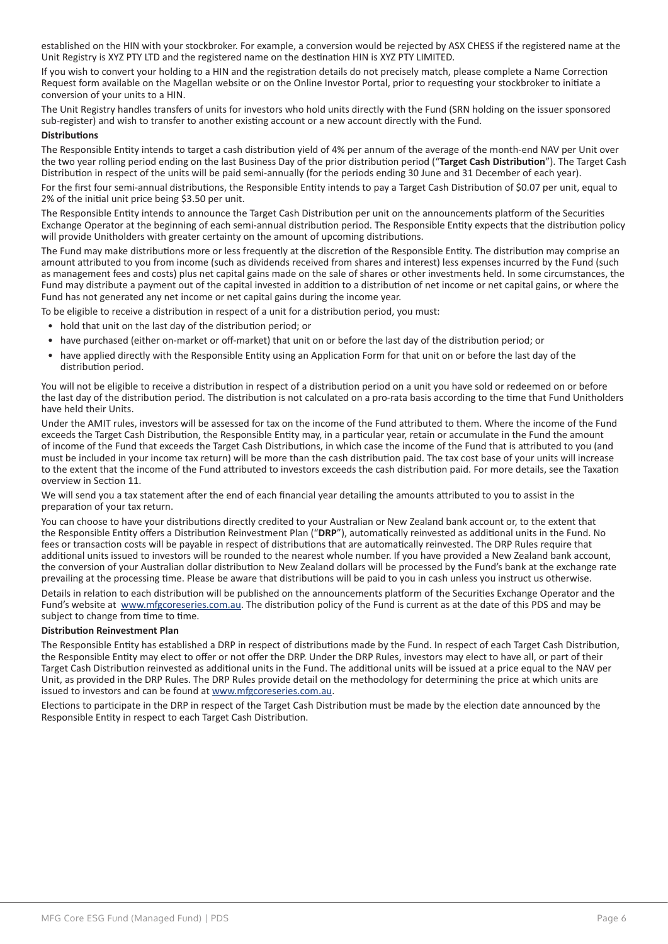established on the HIN with your stockbroker. For example, a conversion would be rejected by ASX CHESS if the registered name at the Unit Registry is XYZ PTY LTD and the registered name on the destination HIN is XYZ PTY LIMITED.

If you wish to convert your holding to a HIN and the registration details do not precisely match, please complete a Name Correction Request form available on the Magellan website or on the Online Investor Portal, prior to requesting your stockbroker to initiate a conversion of your units to a HIN.

The Unit Registry handles transfers of units for investors who hold units directly with the Fund (SRN holding on the issuer sponsored sub-register) and wish to transfer to another existing account or a new account directly with the Fund.

#### **Distributions**

The Responsible Entity intends to target a cash distribution yield of 4% per annum of the average of the month-end NAV per Unit over the two year rolling period ending on the last Business Day of the prior distribution period ("**Target Cash Distribution**"). The Target Cash Distribution in respect of the units will be paid semi-annually (for the periods ending 30 June and 31 December of each year).

For the first four semi-annual distributions, the Responsible Entity intends to pay a Target Cash Distribution of \$0.07 per unit, equal to 2% of the initial unit price being \$3.50 per unit.

The Responsible Entity intends to announce the Target Cash Distribution per unit on the announcements platform of the Securities Exchange Operator at the beginning of each semi-annual distribution period. The Responsible Entity expects that the distribution policy will provide Unitholders with greater certainty on the amount of upcoming distributions.

The Fund may make distributions more or less frequently at the discretion of the Responsible Entity. The distribution may comprise an amount attributed to you from income (such as dividends received from shares and interest) less expenses incurred by the Fund (such as management fees and costs) plus net capital gains made on the sale of shares or other investments held. In some circumstances, the Fund may distribute a payment out of the capital invested in addition to a distribution of net income or net capital gains, or where the Fund has not generated any net income or net capital gains during the income year.

To be eligible to receive a distribution in respect of a unit for a distribution period, you must:

- hold that unit on the last day of the distribution period; or
- have purchased (either on-market or off-market) that unit on or before the last day of the distribution period; or
- have applied directly with the Responsible Entity using an Application Form for that unit on or before the last day of the distribution period.

You will not be eligible to receive a distribution in respect of a distribution period on a unit you have sold or redeemed on or before the last day of the distribution period. The distribution is not calculated on a pro-rata basis according to the time that Fund Unitholders have held their Units.

Under the AMIT rules, investors will be assessed for tax on the income of the Fund attributed to them. Where the income of the Fund exceeds the Target Cash Distribution, the Responsible Entity may, in a particular year, retain or accumulate in the Fund the amount of income of the Fund that exceeds the Target Cash Distributions, in which case the income of the Fund that is attributed to you (and must be included in your income tax return) will be more than the cash distribution paid. The tax cost base of your units will increase to the extent that the income of the Fund attributed to investors exceeds the cash distribution paid. For more details, see the Taxation overview in Section 11.

We will send you a tax statement after the end of each financial year detailing the amounts attributed to you to assist in the preparation of your tax return.

You can choose to have your distributions directly credited to your Australian or New Zealand bank account or, to the extent that the Responsible Entity offers a Distribution Reinvestment Plan ("**DRP**"), automatically reinvested as additional units in the Fund. No fees or transaction costs will be payable in respect of distributions that are automatically reinvested. The DRP Rules require that additional units issued to investors will be rounded to the nearest whole number. If you have provided a New Zealand bank account, the conversion of your Australian dollar distribution to New Zealand dollars will be processed by the Fund's bank at the exchange rate prevailing at the processing time. Please be aware that distributions will be paid to you in cash unless you instruct us otherwise.

Details in relation to each distribution will be published on the announcements platform of the Securities Exchange Operator and the Fund's website at www.mfgcoreseries.com.au. The distribution policy of the Fund is current as at the date of this PDS and may be subject to change from time to time.

#### **Distribution Reinvestment Plan**

The Responsible Entity has established a DRP in respect of distributions made by the Fund. In respect of each Target Cash Distribution, the Responsible Entity may elect to offer or not offer the DRP. Under the DRP Rules, investors may elect to have all, or part of their Target Cash Distribution reinvested as additional units in the Fund. The additional units will be issued at a price equal to the NAV per Unit, as provided in the DRP Rules. The DRP Rules provide detail on the methodology for determining the price at which units are issued to investors and can be found at www.mfgcoreseries.com.au.

Elections to participate in the DRP in respect of the Target Cash Distribution must be made by the election date announced by the Responsible Entity in respect to each Target Cash Distribution.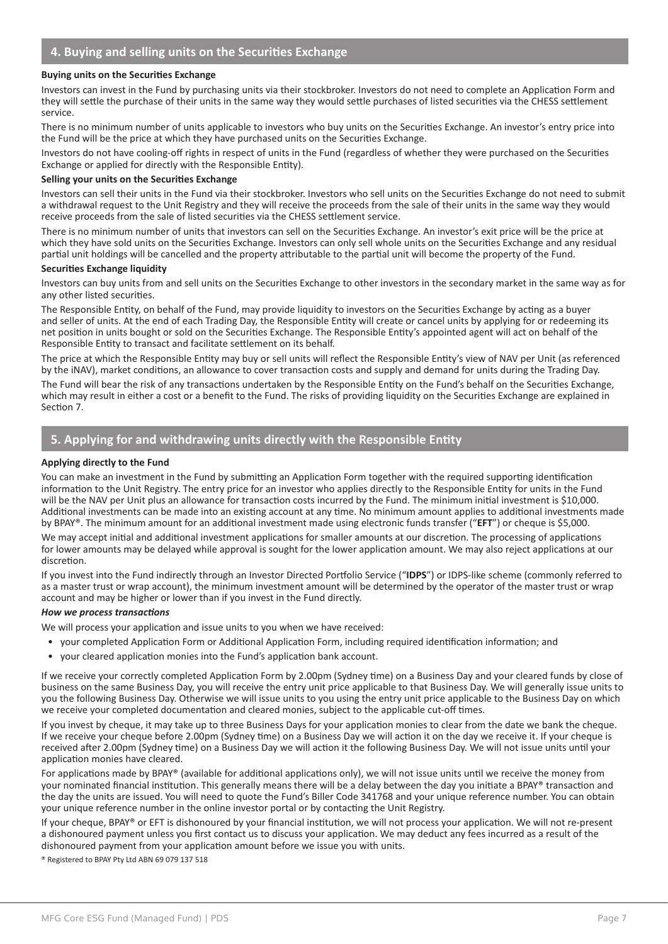#### **Buying units on the Securities Exchange**

Investors can invest in the Fund by purchasing units via their stockbroker. Investors do not need to complete an Application Form and they will settle the purchase of their units in the same way they would settle purchases of listed securities via the CHESS settlement service.

There is no minimum number of units applicable to investors who buy units on the Securities Exchange. An investor's entry price into the Fund will be the price at which they have purchased units on the Securities Exchange.

Investors do not have cooling-off rights in respect of units in the Fund (regardless of whether they were purchased on the Securities Exchange or applied for directly with the Responsible Entity).

#### **Selling your units on the Securities Exchange**

Investors can sell their units in the Fund via their stockbroker. Investors who sell units on the Securities Exchange do not need to submit a withdrawal request to the Unit Registry and they will receive the proceeds from the sale of their units in the same way they would receive proceeds from the sale of listed securities via the CHESS settlement service.

There is no minimum number of units that investors can sell on the Securities Exchange. An investor's exit price will be the price at which they have sold units on the Securities Exchange. Investors can only sell whole units on the Securities Exchange and any residual partial unit holdings will be cancelled and the property attributable to the partial unit will become the property of the Fund.

#### **Securities Exchange liquidity**

Investors can buy units from and sell units on the Securities Exchange to other investors in the secondary market in the same way as for any other listed securities.

The Responsible Entity, on behalf of the Fund, may provide liquidity to investors on the Securities Exchange by acting as a buyer and seller of units. At the end of each Trading Day, the Responsible Entity will create or cancel units by applying for or redeeming its net position in units bought or sold on the Securities Exchange. The Responsible Entity's appointed agent will act on behalf of the Responsible Entity to transact and facilitate settlement on its behalf.

The price at which the Responsible Entity may buy or sell units will reflect the Responsible Entity's view of NAV per Unit (as referenced by the iNAV), market conditions, an allowance to cover transaction costs and supply and demand for units during the Trading Day.

The Fund will bear the risk of any transactions undertaken by the Responsible Entity on the Fund's behalf on the Securities Exchange, which may result in either a cost or a benefit to the Fund. The risks of providing liquidity on the Securities Exchange are explained in Section 7.

# 5. Applying for and withdrawing units directly with the Responsible Entity

#### **Applying directly to the Fund**

You can make an investment in the Fund by submitting an Application Form together with the required supporting identification information to the Unit Registry. The entry price for an investor who applies directly to the Responsible Entity for units in the Fund will be the NAV per Unit plus an allowance for transaction costs incurred by the Fund. The minimum initial investment is \$10,000. Additional investments can be made into an existing account at any time. No minimum amount applies to additional investments made by BPAY®. The minimum amount for an additional investment made using electronic funds transfer ("**EFT**") or cheque is \$5,000.

We may accept initial and additional investment applications for smaller amounts at our discretion. The processing of applications for lower amounts may be delayed while approval is sought for the lower application amount. We may also reject applications at our discretion.

If you invest into the Fund indirectly through an Investor Directed Portfolio Service ("**IDPS**") or IDPS-like scheme (commonly referred to as a master trust or wrap account), the minimum investment amount will be determined by the operator of the master trust or wrap account and may be higher or lower than if you invest in the Fund directly.

#### *How we process transactions*

We will process your application and issue units to you when we have received:

- your completed Application Form or Additional Application Form, including required identification information; and
- your cleared application monies into the Fund's application bank account.

If we receive your correctly completed Application Form by 2.00pm (Sydney time) on a Business Day and your cleared funds by close of business on the same Business Day, you will receive the entry unit price applicable to that Business Day. We will generally issue units to you the following Business Day. Otherwise we will issue units to you using the entry unit price applicable to the Business Day on which we receive your completed documentation and cleared monies, subject to the applicable cut-off times.

If you invest by cheque, it may take up to three Business Days for your application monies to clear from the date we bank the cheque. If we receive your cheque before 2.00pm (Sydney time) on a Business Day we will action it on the day we receive it. If your cheque is received after 2.00pm (Sydney time) on a Business Day we will action it the following Business Day. We will not issue units until your application monies have cleared.

For applications made by BPAY® (available for additional applications only), we will not issue units until we receive the money from your nominated financial institution. This generally means there will be a delay between the day you initiate a BPAY® transaction and the day the units are issued. You will need to quote the Fund's Biller Code 341768 and your unique reference number. You can obtain your unique reference number in the online investor portal or by contacting the Unit Registry.

If your cheque, BPAY® or EFT is dishonoured by your financial institution, we will not process your application. We will not re-present a dishonoured payment unless you first contact us to discuss your application. We may deduct any fees incurred as a result of the dishonoured payment from your application amount before we issue you with units.

® Registered to BPAY Pty Ltd ABN 69 079 137 518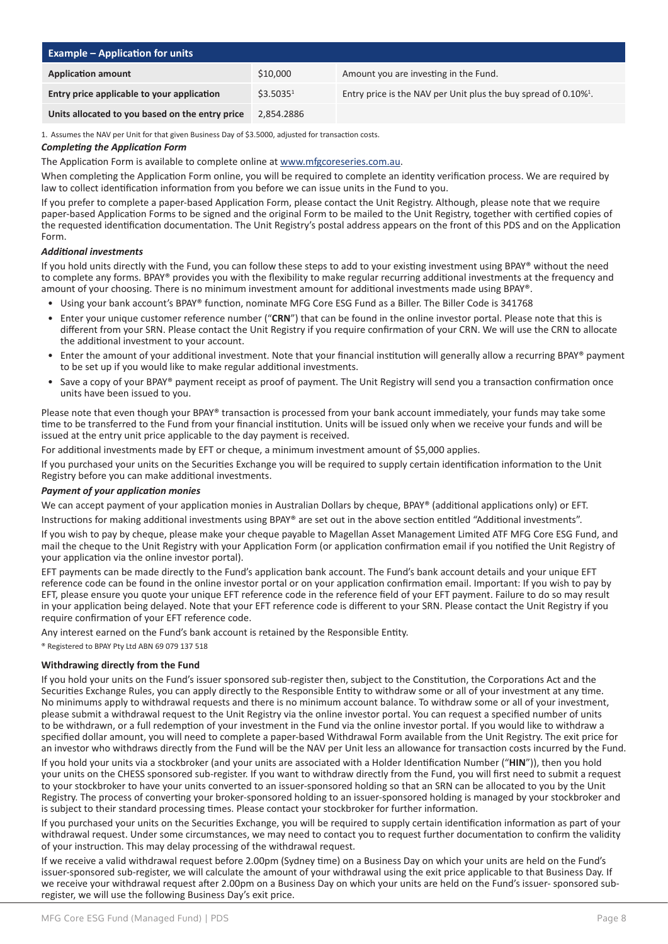| <b>Example – Application for units</b>          |                       |                                                                                |  |  |
|-------------------------------------------------|-----------------------|--------------------------------------------------------------------------------|--|--|
| <b>Application amount</b>                       | \$10,000              | Amount you are investing in the Fund.                                          |  |  |
| Entry price applicable to your application      | \$3.5035 <sup>1</sup> | Entry price is the NAV per Unit plus the buy spread of $0.10\%$ <sup>1</sup> . |  |  |
| Units allocated to you based on the entry price | 2.854.2886            |                                                                                |  |  |

1. Assumes the NAV per Unit for that given Business Day of \$3.5000, adjusted for transaction costs.

#### *Completing the Application Form*

The Application Form is available to complete online at www.mfgcoreseries.com.au.

When completing the Application Form online, you will be required to complete an identity verification process. We are required by law to collect identification information from you before we can issue units in the Fund to you.

If you prefer to complete a paper-based Application Form, please contact the Unit Registry. Although, please note that we require paper-based Application Forms to be signed and the original Form to be mailed to the Unit Registry, together with certified copies of the requested identification documentation. The Unit Registry's postal address appears on the front of this PDS and on the Application Form.

#### *Additional investments*

If you hold units directly with the Fund, you can follow these steps to add to your existing investment using BPAY® without the need to complete any forms. BPAY® provides you with the flexibility to make regular recurring additional investments at the frequency and amount of your choosing. There is no minimum investment amount for additional investments made using BPAY®.

- Using your bank account's BPAY® function, nominate MFG Core ESG Fund as a Biller. The Biller Code is 341768
- Enter your unique customer reference number ("**CRN**") that can be found in the online investor portal. Please note that this is different from your SRN. Please contact the Unit Registry if you require confirmation of your CRN. We will use the CRN to allocate the additional investment to your account.
- Enter the amount of your additional investment. Note that your financial institution will generally allow a recurring BPAY® payment to be set up if you would like to make regular additional investments.
- Save a copy of your BPAY® payment receipt as proof of payment. The Unit Registry will send you a transaction confirmation once units have been issued to you.

Please note that even though your BPAY® transaction is processed from your bank account immediately, your funds may take some time to be transferred to the Fund from your financial institution. Units will be issued only when we receive your funds and will be issued at the entry unit price applicable to the day payment is received.

For additional investments made by EFT or cheque, a minimum investment amount of \$5,000 applies.

If you purchased your units on the Securities Exchange you will be required to supply certain identification information to the Unit Registry before you can make additional investments.

#### *Payment of your application monies*

We can accept payment of your application monies in Australian Dollars by cheque, BPAY® (additional applications only) or EFT.

Instructions for making additional investments using BPAY® are set out in the above section entitled "Additional investments".

If you wish to pay by cheque, please make your cheque payable to Magellan Asset Management Limited ATF MFG Core ESG Fund, and mail the cheque to the Unit Registry with your Application Form (or application confirmation email if you notified the Unit Registry of your application via the online investor portal).

EFT payments can be made directly to the Fund's application bank account. The Fund's bank account details and your unique EFT reference code can be found in the online investor portal or on your application confirmation email. Important: If you wish to pay by EFT, please ensure you quote your unique EFT reference code in the reference field of your EFT payment. Failure to do so may result in your application being delayed. Note that your EFT reference code is different to your SRN. Please contact the Unit Registry if you require confirmation of your EFT reference code.

Any interest earned on the Fund's bank account is retained by the Responsible Entity.

® Registered to BPAY Pty Ltd ABN 69 079 137 518

#### **Withdrawing directly from the Fund**

If you hold your units on the Fund's issuer sponsored sub-register then, subject to the Constitution, the Corporations Act and the Securities Exchange Rules, you can apply directly to the Responsible Entity to withdraw some or all of your investment at any time. No minimums apply to withdrawal requests and there is no minimum account balance. To withdraw some or all of your investment, please submit a withdrawal request to the Unit Registry via the online investor portal. You can request a specified number of units to be withdrawn, or a full redemption of your investment in the Fund via the online investor portal. If you would like to withdraw a specified dollar amount, you will need to complete a paper-based Withdrawal Form available from the Unit Registry. The exit price for an investor who withdraws directly from the Fund will be the NAV per Unit less an allowance for transaction costs incurred by the Fund.

If you hold your units via a stockbroker (and your units are associated with a Holder Identification Number ("**HIN**")), then you hold your units on the CHESS sponsored sub-register. If you want to withdraw directly from the Fund, you will first need to submit a request to your stockbroker to have your units converted to an issuer-sponsored holding so that an SRN can be allocated to you by the Unit Registry. The process of converting your broker-sponsored holding to an issuer-sponsored holding is managed by your stockbroker and is subject to their standard processing times. Please contact your stockbroker for further information.

If you purchased your units on the Securities Exchange, you will be required to supply certain identification information as part of your withdrawal request. Under some circumstances, we may need to contact you to request further documentation to confirm the validity of your instruction. This may delay processing of the withdrawal request.

If we receive a valid withdrawal request before 2.00pm (Sydney time) on a Business Day on which your units are held on the Fund's issuer-sponsored sub-register, we will calculate the amount of your withdrawal using the exit price applicable to that Business Day. If we receive your withdrawal request after 2.00pm on a Business Day on which your units are held on the Fund's issuer- sponsored subregister, we will use the following Business Day's exit price.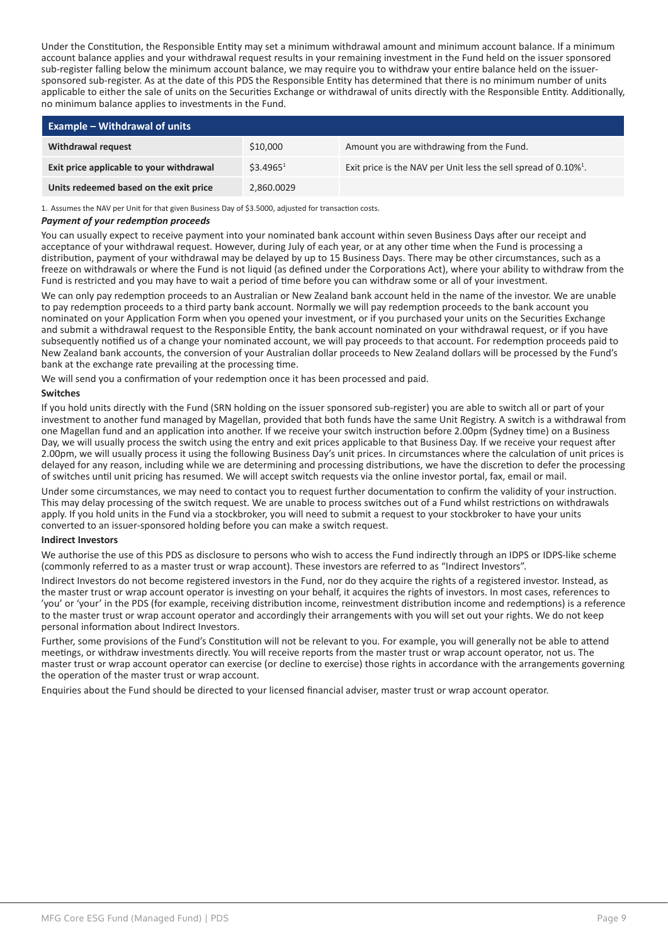Under the Constitution, the Responsible Entity may set a minimum withdrawal amount and minimum account balance. If a minimum account balance applies and your withdrawal request results in your remaining investment in the Fund held on the issuer sponsored sub-register falling below the minimum account balance, we may require you to withdraw your entire balance held on the issuersponsored sub-register. As at the date of this PDS the Responsible Entity has determined that there is no minimum number of units applicable to either the sale of units on the Securities Exchange or withdrawal of units directly with the Responsible Entity. Additionally, no minimum balance applies to investments in the Fund.

| <b>Example – Withdrawal of units</b>     |                       |                                                                             |  |  |
|------------------------------------------|-----------------------|-----------------------------------------------------------------------------|--|--|
| <b>Withdrawal request</b>                | \$10,000              | Amount you are withdrawing from the Fund.                                   |  |  |
| Exit price applicable to your withdrawal | \$3.4965 <sup>1</sup> | Exit price is the NAV per Unit less the sell spread of 0.10% <sup>1</sup> . |  |  |
| Units redeemed based on the exit price   | 2,860.0029            |                                                                             |  |  |

1. Assumes the NAV per Unit for that given Business Day of \$3.5000, adjusted for transaction costs.

#### *Payment of your redemption proceeds*

You can usually expect to receive payment into your nominated bank account within seven Business Days after our receipt and acceptance of your withdrawal request. However, during July of each year, or at any other time when the Fund is processing a distribution, payment of your withdrawal may be delayed by up to 15 Business Days. There may be other circumstances, such as a freeze on withdrawals or where the Fund is not liquid (as defined under the Corporations Act), where your ability to withdraw from the Fund is restricted and you may have to wait a period of time before you can withdraw some or all of your investment.

We can only pay redemption proceeds to an Australian or New Zealand bank account held in the name of the investor. We are unable to pay redemption proceeds to a third party bank account. Normally we will pay redemption proceeds to the bank account you nominated on your Application Form when you opened your investment, or if you purchased your units on the Securities Exchange and submit a withdrawal request to the Responsible Entity, the bank account nominated on your withdrawal request, or if you have subsequently notified us of a change your nominated account, we will pay proceeds to that account. For redemption proceeds paid to New Zealand bank accounts, the conversion of your Australian dollar proceeds to New Zealand dollars will be processed by the Fund's bank at the exchange rate prevailing at the processing time.

We will send you a confirmation of your redemption once it has been processed and paid.

#### **Switches**

If you hold units directly with the Fund (SRN holding on the issuer sponsored sub-register) you are able to switch all or part of your investment to another fund managed by Magellan, provided that both funds have the same Unit Registry. A switch is a withdrawal from one Magellan fund and an application into another. If we receive your switch instruction before 2.00pm (Sydney time) on a Business Day, we will usually process the switch using the entry and exit prices applicable to that Business Day. If we receive your request after 2.00pm, we will usually process it using the following Business Day's unit prices. In circumstances where the calculation of unit prices is delayed for any reason, including while we are determining and processing distributions, we have the discretion to defer the processing of switches until unit pricing has resumed. We will accept switch requests via the online investor portal, fax, email or mail.

Under some circumstances, we may need to contact you to request further documentation to confirm the validity of your instruction. This may delay processing of the switch request. We are unable to process switches out of a Fund whilst restrictions on withdrawals apply. If you hold units in the Fund via a stockbroker, you will need to submit a request to your stockbroker to have your units converted to an issuer-sponsored holding before you can make a switch request.

#### **Indirect Investors**

We authorise the use of this PDS as disclosure to persons who wish to access the Fund indirectly through an IDPS or IDPS-like scheme (commonly referred to as a master trust or wrap account). These investors are referred to as "Indirect Investors".

Indirect Investors do not become registered investors in the Fund, nor do they acquire the rights of a registered investor. Instead, as the master trust or wrap account operator is investing on your behalf, it acquires the rights of investors. In most cases, references to 'you' or 'your' in the PDS (for example, receiving distribution income, reinvestment distribution income and redemptions) is a reference to the master trust or wrap account operator and accordingly their arrangements with you will set out your rights. We do not keep personal information about Indirect Investors.

Further, some provisions of the Fund's Constitution will not be relevant to you. For example, you will generally not be able to attend meetings, or withdraw investments directly. You will receive reports from the master trust or wrap account operator, not us. The master trust or wrap account operator can exercise (or decline to exercise) those rights in accordance with the arrangements governing the operation of the master trust or wrap account.

Enquiries about the Fund should be directed to your licensed financial adviser, master trust or wrap account operator.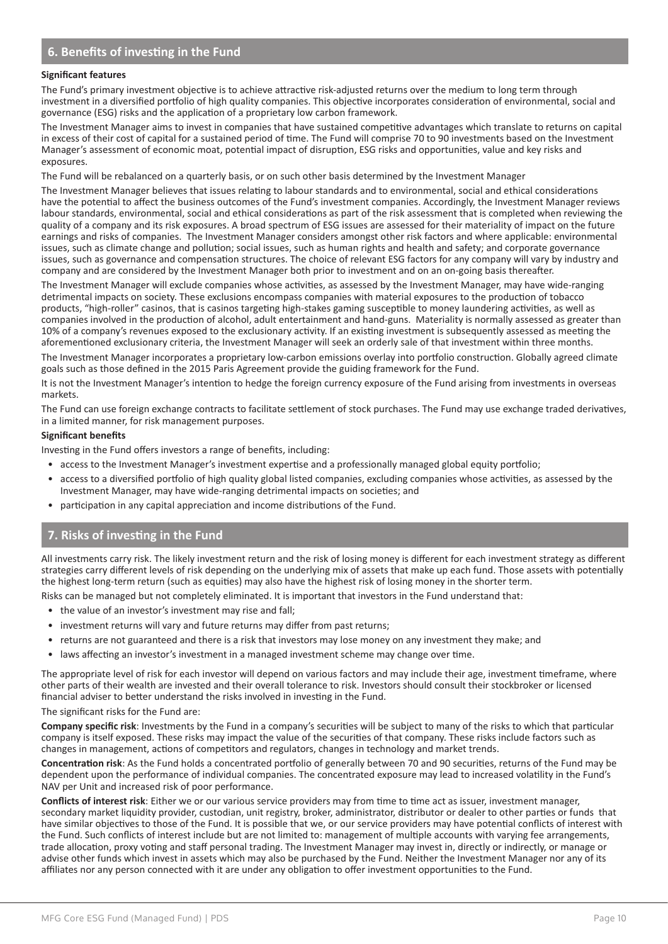# **6. Benefits of investing in the Fund**

#### **Significant features**

The Fund's primary investment objective is to achieve attractive risk-adjusted returns over the medium to long term through investment in a diversified portfolio of high quality companies. This objective incorporates consideration of environmental, social and governance (ESG) risks and the application of a proprietary low carbon framework.

The Investment Manager aims to invest in companies that have sustained competitive advantages which translate to returns on capital in excess of their cost of capital for a sustained period of time. The Fund will comprise 70 to 90 investments based on the Investment Manager's assessment of economic moat, potential impact of disruption, ESG risks and opportunities, value and key risks and exposures.

The Fund will be rebalanced on a quarterly basis, or on such other basis determined by the Investment Manager

The Investment Manager believes that issues relating to labour standards and to environmental, social and ethical considerations have the potential to affect the business outcomes of the Fund's investment companies. Accordingly, the Investment Manager reviews labour standards, environmental, social and ethical considerations as part of the risk assessment that is completed when reviewing the quality of a company and its risk exposures. A broad spectrum of ESG issues are assessed for their materiality of impact on the future earnings and risks of companies. The Investment Manager considers amongst other risk factors and where applicable: environmental issues, such as climate change and pollution; social issues, such as human rights and health and safety; and corporate governance issues, such as governance and compensation structures. The choice of relevant ESG factors for any company will vary by industry and company and are considered by the Investment Manager both prior to investment and on an on-going basis thereafter.

The Investment Manager will exclude companies whose activities, as assessed by the Investment Manager, may have wide-ranging detrimental impacts on society. These exclusions encompass companies with material exposures to the production of tobacco products, "high-roller" casinos, that is casinos targeting high-stakes gaming susceptible to money laundering activities, as well as companies involved in the production of alcohol, adult entertainment and hand-guns. Materiality is normally assessed as greater than 10% of a company's revenues exposed to the exclusionary activity. If an existing investment is subsequently assessed as meeting the aforementioned exclusionary criteria, the Investment Manager will seek an orderly sale of that investment within three months.

The Investment Manager incorporates a proprietary low-carbon emissions overlay into portfolio construction. Globally agreed climate goals such as those defined in the 2015 Paris Agreement provide the guiding framework for the Fund.

It is not the Investment Manager's intention to hedge the foreign currency exposure of the Fund arising from investments in overseas markets.

The Fund can use foreign exchange contracts to facilitate settlement of stock purchases. The Fund may use exchange traded derivatives, in a limited manner, for risk management purposes.

#### **Significant benefits**

Investing in the Fund offers investors a range of benefits, including:

- access to the Investment Manager's investment expertise and a professionally managed global equity portfolio;
- access to a diversified portfolio of high quality global listed companies, excluding companies whose activities, as assessed by the Investment Manager, may have wide-ranging detrimental impacts on societies; and
- participation in any capital appreciation and income distributions of the Fund.

#### • **7. Risks of investing in the Fund**

All investments carry risk. The likely investment return and the risk of losing money is different for each investment strategy as different strategies carry different levels of risk depending on the underlying mix of assets that make up each fund. Those assets with potentially the highest long-term return (such as equities) may also have the highest risk of losing money in the shorter term.

Risks can be managed but not completely eliminated. It is important that investors in the Fund understand that:

- the value of an investor's investment may rise and fall;
- investment returns will vary and future returns may differ from past returns;
- returns are not guaranteed and there is a risk that investors may lose money on any investment they make; and
- laws affecting an investor's investment in a managed investment scheme may change over time.

The appropriate level of risk for each investor will depend on various factors and may include their age, investment timeframe, where other parts of their wealth are invested and their overall tolerance to risk. Investors should consult their stockbroker or licensed financial adviser to better understand the risks involved in investing in the Fund.

The significant risks for the Fund are:

**Company specific risk**: Investments by the Fund in a company's securities will be subject to many of the risks to which that particular company is itself exposed. These risks may impact the value of the securities of that company. These risks include factors such as changes in management, actions of competitors and regulators, changes in technology and market trends.

**Concentration risk**: As the Fund holds a concentrated portfolio of generally between 70 and 90 securities, returns of the Fund may be dependent upon the performance of individual companies. The concentrated exposure may lead to increased volatility in the Fund's NAV per Unit and increased risk of poor performance.

**Conflicts of interest risk**: Either we or our various service providers may from time to time act as issuer, investment manager, secondary market liquidity provider, custodian, unit registry, broker, administrator, distributor or dealer to other parties or funds that have similar objectives to those of the Fund. It is possible that we, or our service providers may have potential conflicts of interest with the Fund. Such conflicts of interest include but are not limited to: management of multiple accounts with varying fee arrangements, trade allocation, proxy voting and staff personal trading. The Investment Manager may invest in, directly or indirectly, or manage or advise other funds which invest in assets which may also be purchased by the Fund. Neither the Investment Manager nor any of its affiliates nor any person connected with it are under any obligation to offer investment opportunities to the Fund.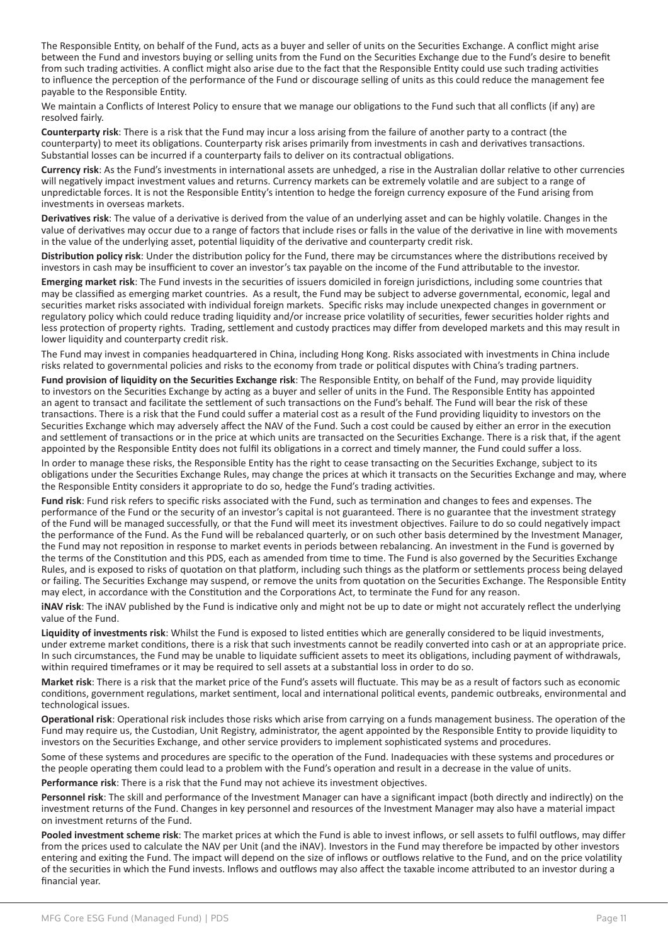The Responsible Entity, on behalf of the Fund, acts as a buyer and seller of units on the Securities Exchange. A conflict might arise between the Fund and investors buying or selling units from the Fund on the Securities Exchange due to the Fund's desire to benefit from such trading activities. A conflict might also arise due to the fact that the Responsible Entity could use such trading activities to influence the perception of the performance of the Fund or discourage selling of units as this could reduce the management fee payable to the Responsible Entity.

We maintain a Conflicts of Interest Policy to ensure that we manage our obligations to the Fund such that all conflicts (if any) are resolved fairly.

**Counterparty risk**: There is a risk that the Fund may incur a loss arising from the failure of another party to a contract (the counterparty) to meet its obligations. Counterparty risk arises primarily from investments in cash and derivatives transactions. Substantial losses can be incurred if a counterparty fails to deliver on its contractual obligations.

**Currency risk**: As the Fund's investments in international assets are unhedged, a rise in the Australian dollar relative to other currencies will negatively impact investment values and returns. Currency markets can be extremely volatile and are subject to a range of unpredictable forces. It is not the Responsible Entity's intention to hedge the foreign currency exposure of the Fund arising from investments in overseas markets.

**Derivatives risk**: The value of a derivative is derived from the value of an underlying asset and can be highly volatile. Changes in the value of derivatives may occur due to a range of factors that include rises or falls in the value of the derivative in line with movements in the value of the underlying asset, potential liquidity of the derivative and counterparty credit risk.

**Distribution policy risk**: Under the distribution policy for the Fund, there may be circumstances where the distributions received by investors in cash may be insufficient to cover an investor's tax payable on the income of the Fund attributable to the investor.

**Emerging market risk**: The Fund invests in the securities of issuers domiciled in foreign jurisdictions, including some countries that may be classified as emerging market countries. As a result, the Fund may be subject to adverse governmental, economic, legal and securities market risks associated with individual foreign markets. Specific risks may include unexpected changes in government or regulatory policy which could reduce trading liquidity and/or increase price volatility of securities, fewer securities holder rights and less protection of property rights. Trading, settlement and custody practices may differ from developed markets and this may result in lower liquidity and counterparty credit risk.

The Fund may invest in companies headquartered in China, including Hong Kong. Risks associated with investments in China include risks related to governmental policies and risks to the economy from trade or political disputes with China's trading partners.

**Fund provision of liquidity on the Securities Exchange risk**: The Responsible Entity, on behalf of the Fund, may provide liquidity to investors on the Securities Exchange by acting as a buyer and seller of units in the Fund. The Responsible Entity has appointed an agent to transact and facilitate the settlement of such transactions on the Fund's behalf. The Fund will bear the risk of these transactions. There is a risk that the Fund could suffer a material cost as a result of the Fund providing liquidity to investors on the Securities Exchange which may adversely affect the NAV of the Fund. Such a cost could be caused by either an error in the execution and settlement of transactions or in the price at which units are transacted on the Securities Exchange. There is a risk that, if the agent appointed by the Responsible Entity does not fulfil its obligations in a correct and timely manner, the Fund could suffer a loss.

In order to manage these risks, the Responsible Entity has the right to cease transacting on the Securities Exchange, subject to its obligations under the Securities Exchange Rules, may change the prices at which it transacts on the Securities Exchange and may, where the Responsible Entity considers it appropriate to do so, hedge the Fund's trading activities.

**Fund risk**: Fund risk refers to specific risks associated with the Fund, such as termination and changes to fees and expenses. The performance of the Fund or the security of an investor's capital is not guaranteed. There is no guarantee that the investment strategy of the Fund will be managed successfully, or that the Fund will meet its investment objectives. Failure to do so could negatively impact the performance of the Fund. As the Fund will be rebalanced quarterly, or on such other basis determined by the Investment Manager, the Fund may not reposition in response to market events in periods between rebalancing. An investment in the Fund is governed by the terms of the Constitution and this PDS, each as amended from time to time. The Fund is also governed by the Securities Exchange Rules, and is exposed to risks of quotation on that platform, including such things as the platform or settlements process being delayed or failing. The Securities Exchange may suspend, or remove the units from quotation on the Securities Exchange. The Responsible Entity may elect, in accordance with the Constitution and the Corporations Act, to terminate the Fund for any reason.

**iNAV risk**: The iNAV published by the Fund is indicative only and might not be up to date or might not accurately reflect the underlying value of the Fund.

**Liquidity of investments risk**: Whilst the Fund is exposed to listed entities which are generally considered to be liquid investments, under extreme market conditions, there is a risk that such investments cannot be readily converted into cash or at an appropriate price. In such circumstances, the Fund may be unable to liquidate sufficient assets to meet its obligations, including payment of withdrawals, within required timeframes or it may be required to sell assets at a substantial loss in order to do so.

**Market risk**: There is a risk that the market price of the Fund's assets will fluctuate. This may be as a result of factors such as economic conditions, government regulations, market sentiment, local and international political events, pandemic outbreaks, environmental and technological issues.

**Operational risk**: Operational risk includes those risks which arise from carrying on a funds management business. The operation of the Fund may require us, the Custodian, Unit Registry, administrator, the agent appointed by the Responsible Entity to provide liquidity to investors on the Securities Exchange, and other service providers to implement sophisticated systems and procedures.

Some of these systems and procedures are specific to the operation of the Fund. Inadequacies with these systems and procedures or the people operating them could lead to a problem with the Fund's operation and result in a decrease in the value of units.

**Performance risk**: There is a risk that the Fund may not achieve its investment objectives.

**Personnel risk**: The skill and performance of the Investment Manager can have a significant impact (both directly and indirectly) on the investment returns of the Fund. Changes in key personnel and resources of the Investment Manager may also have a material impact on investment returns of the Fund.

**Pooled investment scheme risk**: The market prices at which the Fund is able to invest inflows, or sell assets to fulfil outflows, may differ from the prices used to calculate the NAV per Unit (and the iNAV). Investors in the Fund may therefore be impacted by other investors entering and exiting the Fund. The impact will depend on the size of inflows or outflows relative to the Fund, and on the price volatility of the securities in which the Fund invests. Inflows and outflows may also affect the taxable income attributed to an investor during a financial year.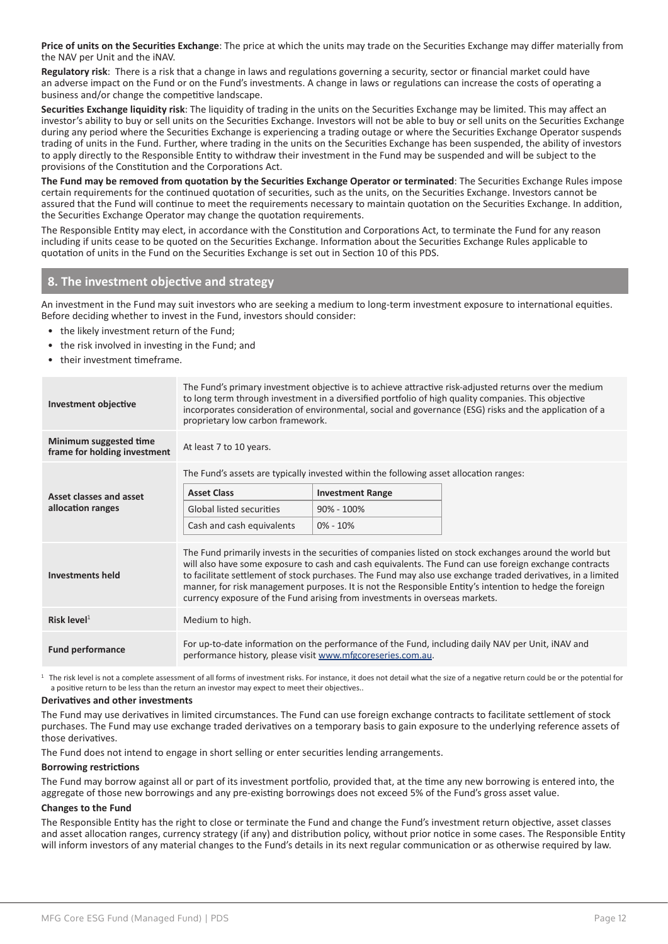**Price of units on the Securities Exchange**: The price at which the units may trade on the Securities Exchange may differ materially from the NAV per Unit and the iNAV.

**Regulatory risk**: There is a risk that a change in laws and regulations governing a security, sector or financial market could have an adverse impact on the Fund or on the Fund's investments. A change in laws or regulations can increase the costs of operating a business and/or change the competitive landscape.

**Securities Exchange liquidity risk**: The liquidity of trading in the units on the Securities Exchange may be limited. This may affect an investor's ability to buy or sell units on the Securities Exchange. Investors will not be able to buy or sell units on the Securities Exchange during any period where the Securities Exchange is experiencing a trading outage or where the Securities Exchange Operator suspends trading of units in the Fund. Further, where trading in the units on the Securities Exchange has been suspended, the ability of investors to apply directly to the Responsible Entity to withdraw their investment in the Fund may be suspended and will be subject to the provisions of the Constitution and the Corporations Act.

**The Fund may be removed from quotation by the Securities Exchange Operator or terminated**: The Securities Exchange Rules impose certain requirements for the continued quotation of securities, such as the units, on the Securities Exchange. Investors cannot be assured that the Fund will continue to meet the requirements necessary to maintain quotation on the Securities Exchange. In addition, the Securities Exchange Operator may change the quotation requirements.

The Responsible Entity may elect, in accordance with the Constitution and Corporations Act, to terminate the Fund for any reason including if units cease to be quoted on the Securities Exchange. Information about the Securities Exchange Rules applicable to quotation of units in the Fund on the Securities Exchange is set out in Section 10 of this PDS.

### **8. The investment objective and strategy**

An investment in the Fund may suit investors who are seeking a medium to long-term investment exposure to international equities. Before deciding whether to invest in the Fund, investors should consider:

- the likely investment return of the Fund;
- the risk involved in investing in the Fund; and
- their investment timeframe.

| <b>Investment objective</b>                            | The Fund's primary investment objective is to achieve attractive risk-adjusted returns over the medium<br>to long term through investment in a diversified portfolio of high quality companies. This objective<br>incorporates consideration of environmental, social and governance (ESG) risks and the application of a<br>proprietary low carbon framework.                                                                                                                                                               |                         |  |  |
|--------------------------------------------------------|------------------------------------------------------------------------------------------------------------------------------------------------------------------------------------------------------------------------------------------------------------------------------------------------------------------------------------------------------------------------------------------------------------------------------------------------------------------------------------------------------------------------------|-------------------------|--|--|
| Minimum suggested time<br>frame for holding investment | At least 7 to 10 years.                                                                                                                                                                                                                                                                                                                                                                                                                                                                                                      |                         |  |  |
|                                                        | The Fund's assets are typically invested within the following asset allocation ranges:                                                                                                                                                                                                                                                                                                                                                                                                                                       |                         |  |  |
| Asset classes and asset                                | <b>Asset Class</b>                                                                                                                                                                                                                                                                                                                                                                                                                                                                                                           | <b>Investment Range</b> |  |  |
| allocation ranges                                      | Global listed securities                                                                                                                                                                                                                                                                                                                                                                                                                                                                                                     | $90\% - 100\%$          |  |  |
|                                                        | Cash and cash equivalents                                                                                                                                                                                                                                                                                                                                                                                                                                                                                                    | $0\% - 10\%$            |  |  |
| <b>Investments held</b>                                | The Fund primarily invests in the securities of companies listed on stock exchanges around the world but<br>will also have some exposure to cash and cash equivalents. The Fund can use foreign exchange contracts<br>to facilitate settlement of stock purchases. The Fund may also use exchange traded derivatives, in a limited<br>manner, for risk management purposes. It is not the Responsible Entity's intention to hedge the foreign<br>currency exposure of the Fund arising from investments in overseas markets. |                         |  |  |
| Risk level $1$                                         | Medium to high.                                                                                                                                                                                                                                                                                                                                                                                                                                                                                                              |                         |  |  |
| <b>Fund performance</b>                                | For up-to-date information on the performance of the Fund, including daily NAV per Unit, iNAV and<br>performance history, please visit www.mfgcoreseries.com.au.                                                                                                                                                                                                                                                                                                                                                             |                         |  |  |

<sup>1</sup> The risk level is not a complete assessment of all forms of investment risks. For instance, it does not detail what the size of a negative return could be or the potential for a positive return to be less than the return an investor may expect to meet their objectives..

#### **Derivatives and other investments**

The Fund may use derivatives in limited circumstances. The Fund can use foreign exchange contracts to facilitate settlement of stock purchases. The Fund may use exchange traded derivatives on a temporary basis to gain exposure to the underlying reference assets of those derivatives.

The Fund does not intend to engage in short selling or enter securities lending arrangements.

#### **Borrowing restrictions**

The Fund may borrow against all or part of its investment portfolio, provided that, at the time any new borrowing is entered into, the aggregate of those new borrowings and any pre-existing borrowings does not exceed 5% of the Fund's gross asset value.

#### **Changes to the Fund**

The Responsible Entity has the right to close or terminate the Fund and change the Fund's investment return objective, asset classes and asset allocation ranges, currency strategy (if any) and distribution policy, without prior notice in some cases. The Responsible Entity will inform investors of any material changes to the Fund's details in its next regular communication or as otherwise required by law.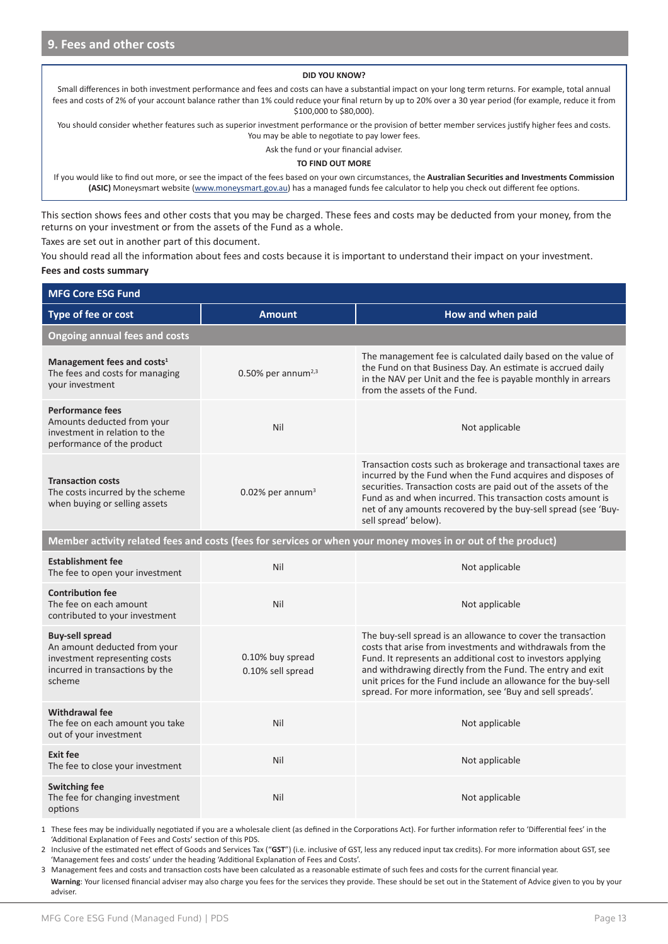#### **DID YOU KNOW?**

Small differences in both investment performance and fees and costs can have a substantial impact on your long term returns. For example, total annual fees and costs of 2% of your account balance rather than 1% could reduce your final return by up to 20% over a 30 year period (for example, reduce it from \$100,000 to \$80,000).

You should consider whether features such as superior investment performance or the provision of better member services justify higher fees and costs. You may be able to negotiate to pay lower fees.

Ask the fund or your financial adviser.

#### **TO FIND OUT MORE**

If you would like to find out more, or see the impact of the fees based on your own circumstances, the **Australian Securities and Investments Commission (ASIC)** Moneysmart website (www.moneysmart.gov.au) has a managed funds fee calculator to help you check out different fee options.

This section shows fees and other costs that you may be charged. These fees and costs may be deducted from your money, from the returns on your investment or from the assets of the Fund as a whole.

Taxes are set out in another part of this document.

You should read all the information about fees and costs because it is important to understand their impact on your investment.

#### **Fees and costs summary**

| <b>MFG Core ESG Fund</b>                                                                                                             |                                       |                                                                                                                                                                                                                                                                                                                                                                                         |  |  |  |  |
|--------------------------------------------------------------------------------------------------------------------------------------|---------------------------------------|-----------------------------------------------------------------------------------------------------------------------------------------------------------------------------------------------------------------------------------------------------------------------------------------------------------------------------------------------------------------------------------------|--|--|--|--|
| Type of fee or cost                                                                                                                  | <b>Amount</b>                         | How and when paid                                                                                                                                                                                                                                                                                                                                                                       |  |  |  |  |
| <b>Ongoing annual fees and costs</b>                                                                                                 |                                       |                                                                                                                                                                                                                                                                                                                                                                                         |  |  |  |  |
| Management fees and costs <sup>1</sup><br>The fees and costs for managing<br>your investment                                         | $0.50\%$ per annum <sup>2,3</sup>     | The management fee is calculated daily based on the value of<br>the Fund on that Business Day. An estimate is accrued daily<br>in the NAV per Unit and the fee is payable monthly in arrears<br>from the assets of the Fund.                                                                                                                                                            |  |  |  |  |
| <b>Performance fees</b><br>Amounts deducted from your<br>investment in relation to the<br>performance of the product                 | Nil                                   | Not applicable                                                                                                                                                                                                                                                                                                                                                                          |  |  |  |  |
| <b>Transaction costs</b><br>The costs incurred by the scheme<br>when buying or selling assets                                        | $0.02\%$ per annum <sup>3</sup>       | Transaction costs such as brokerage and transactional taxes are<br>incurred by the Fund when the Fund acquires and disposes of<br>securities. Transaction costs are paid out of the assets of the<br>Fund as and when incurred. This transaction costs amount is<br>net of any amounts recovered by the buy-sell spread (see 'Buy-<br>sell spread' below).                              |  |  |  |  |
|                                                                                                                                      |                                       | Member activity related fees and costs (fees for services or when your money moves in or out of the product)                                                                                                                                                                                                                                                                            |  |  |  |  |
| <b>Establishment fee</b><br>The fee to open your investment                                                                          | Nil                                   | Not applicable                                                                                                                                                                                                                                                                                                                                                                          |  |  |  |  |
| <b>Contribution fee</b><br>The fee on each amount<br>contributed to your investment                                                  | Nil                                   | Not applicable                                                                                                                                                                                                                                                                                                                                                                          |  |  |  |  |
| <b>Buy-sell spread</b><br>An amount deducted from your<br>investment representing costs<br>incurred in transactions by the<br>scheme | 0.10% buy spread<br>0.10% sell spread | The buy-sell spread is an allowance to cover the transaction<br>costs that arise from investments and withdrawals from the<br>Fund. It represents an additional cost to investors applying<br>and withdrawing directly from the Fund. The entry and exit<br>unit prices for the Fund include an allowance for the buy-sell<br>spread. For more information, see 'Buy and sell spreads'. |  |  |  |  |
| <b>Withdrawal fee</b><br>The fee on each amount you take<br>out of your investment                                                   | Nil                                   | Not applicable                                                                                                                                                                                                                                                                                                                                                                          |  |  |  |  |
| <b>Exit fee</b><br>The fee to close your investment                                                                                  | Nil                                   | Not applicable                                                                                                                                                                                                                                                                                                                                                                          |  |  |  |  |
| <b>Switching fee</b><br>The fee for changing investment<br>options                                                                   | Nil                                   | Not applicable                                                                                                                                                                                                                                                                                                                                                                          |  |  |  |  |

1 These fees may be individually negotiated if you are a wholesale client (as defined in the Corporations Act). For further information refer to 'Differential fees' in the 'Additional Explanation of Fees and Costs' section of this PDS.

2 Inclusive of the estimated net effect of Goods and Services Tax ("**GST**") (i.e. inclusive of GST, less any reduced input tax credits). For more information about GST, see 'Management fees and costs' under the heading 'Additional Explanation of Fees and Costs'.

3 Management fees and costs and transaction costs have been calculated as a reasonable estimate of such fees and costs for the current financial year. **Warning**: Your licensed financial adviser may also charge you fees for the services they provide. These should be set out in the Statement of Advice given to you by your adviser.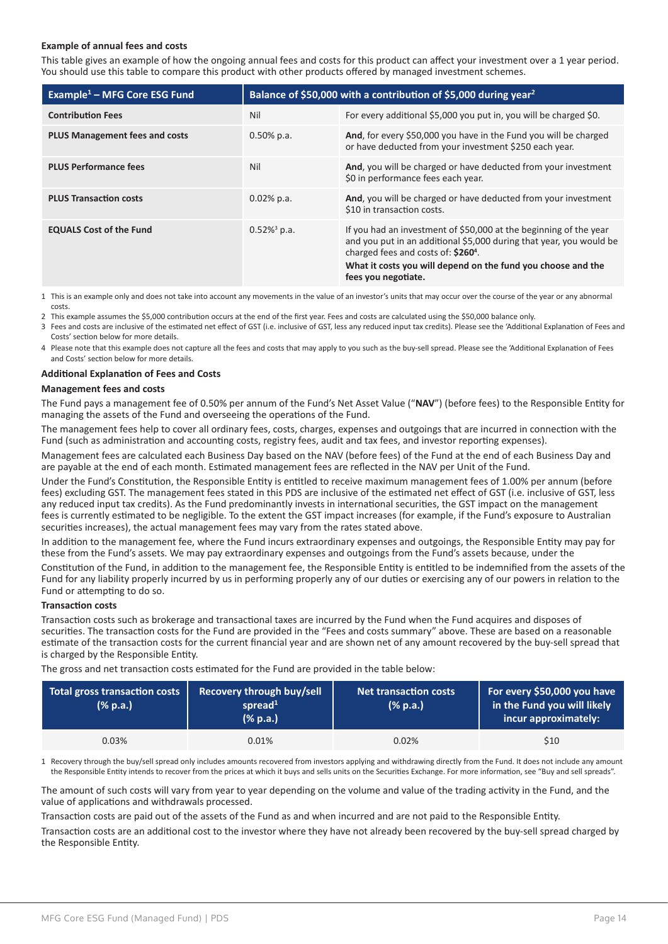#### **Example of annual fees and costs**

This table gives an example of how the ongoing annual fees and costs for this product can affect your investment over a 1 year period. You should use this table to compare this product with other products offered by managed investment schemes.

| Example <sup>1</sup> – MFG Core ESG Fund | Balance of \$50,000 with a contribution of \$5,000 during year <sup>2</sup> |                                                                                                                                                                                                                                                                                    |  |
|------------------------------------------|-----------------------------------------------------------------------------|------------------------------------------------------------------------------------------------------------------------------------------------------------------------------------------------------------------------------------------------------------------------------------|--|
| <b>Contribution Fees</b>                 | Nil                                                                         | For every additional \$5,000 you put in, you will be charged \$0.                                                                                                                                                                                                                  |  |
| <b>PLUS Management fees and costs</b>    | $0.50\%$ p.a.                                                               | And, for every \$50,000 you have in the Fund you will be charged<br>or have deducted from your investment \$250 each year.                                                                                                                                                         |  |
| <b>PLUS Performance fees</b>             | Nil                                                                         | And, you will be charged or have deducted from your investment<br>\$0 in performance fees each year.                                                                                                                                                                               |  |
| <b>PLUS Transaction costs</b>            | $0.02\%$ p.a.                                                               | And, you will be charged or have deducted from your investment<br>\$10 in transaction costs.                                                                                                                                                                                       |  |
| <b>EQUALS Cost of the Fund</b>           | $0.52\%$ <sup>3</sup> p.a.                                                  | If you had an investment of \$50,000 at the beginning of the year<br>and you put in an additional \$5,000 during that year, you would be<br>charged fees and costs of: \$260 <sup>4</sup> .<br>What it costs you will depend on the fund you choose and the<br>fees you negotiate. |  |

1 This is an example only and does not take into account any movements in the value of an investor's units that may occur over the course of the year or any abnormal costs.

2 This example assumes the \$5,000 contribution occurs at the end of the first year. Fees and costs are calculated using the \$50,000 balance only.

3 Fees and costs are inclusive of the estimated net effect of GST (i.e. inclusive of GST, less any reduced input tax credits). Please see the 'Additional Explanation of Fees and Costs' section below for more details.

4 Please note that this example does not capture all the fees and costs that may apply to you such as the buy-sell spread. Please see the 'Additional Explanation of Fees and Costs' section below for more details.

#### **Additional Explanation of Fees and Costs**

#### **Management fees and costs**

The Fund pays a management fee of 0.50% per annum of the Fund's Net Asset Value ("**NAV**") (before fees) to the Responsible Entity for managing the assets of the Fund and overseeing the operations of the Fund.

The management fees help to cover all ordinary fees, costs, charges, expenses and outgoings that are incurred in connection with the Fund (such as administration and accounting costs, registry fees, audit and tax fees, and investor reporting expenses).

Management fees are calculated each Business Day based on the NAV (before fees) of the Fund at the end of each Business Day and are payable at the end of each month. Estimated management fees are reflected in the NAV per Unit of the Fund.

Under the Fund's Constitution, the Responsible Entity is entitled to receive maximum management fees of 1.00% per annum (before fees) excluding GST. The management fees stated in this PDS are inclusive of the estimated net effect of GST (i.e. inclusive of GST, less any reduced input tax credits). As the Fund predominantly invests in international securities, the GST impact on the management fees is currently estimated to be negligible. To the extent the GST impact increases (for example, if the Fund's exposure to Australian securities increases), the actual management fees may vary from the rates stated above.

In addition to the management fee, where the Fund incurs extraordinary expenses and outgoings, the Responsible Entity may pay for these from the Fund's assets. We may pay extraordinary expenses and outgoings from the Fund's assets because, under the

Constitution of the Fund, in addition to the management fee, the Responsible Entity is entitled to be indemnified from the assets of the Fund for any liability properly incurred by us in performing properly any of our duties or exercising any of our powers in relation to the Fund or attempting to do so.

#### **Transaction costs**

Transaction costs such as brokerage and transactional taxes are incurred by the Fund when the Fund acquires and disposes of securities. The transaction costs for the Fund are provided in the "Fees and costs summary" above. These are based on a reasonable estimate of the transaction costs for the current financial year and are shown net of any amount recovered by the buy-sell spread that is charged by the Responsible Entity.

The gross and net transaction costs estimated for the Fund are provided in the table below:

| <b>Total gross transaction costs</b><br>(% p.a.) | <b>Recovery through buy/sell</b><br>spread $1$<br>(% p.a.) | Net transaction costs<br>(% p.a.) | For every \$50,000 you have<br>in the Fund you will likely<br>incur approximately: |
|--------------------------------------------------|------------------------------------------------------------|-----------------------------------|------------------------------------------------------------------------------------|
| 0.03%                                            | 0.01%                                                      | 0.02%                             | \$10                                                                               |

1 Recovery through the buy/sell spread only includes amounts recovered from investors applying and withdrawing directly from the Fund. It does not include any amount the Responsible Entity intends to recover from the prices at which it buys and sells units on the Securities Exchange. For more information, see "Buy and sell spreads".

The amount of such costs will vary from year to year depending on the volume and value of the trading activity in the Fund, and the value of applications and withdrawals processed.

Transaction costs are paid out of the assets of the Fund as and when incurred and are not paid to the Responsible Entity.

Transaction costs are an additional cost to the investor where they have not already been recovered by the buy-sell spread charged by the Responsible Entity.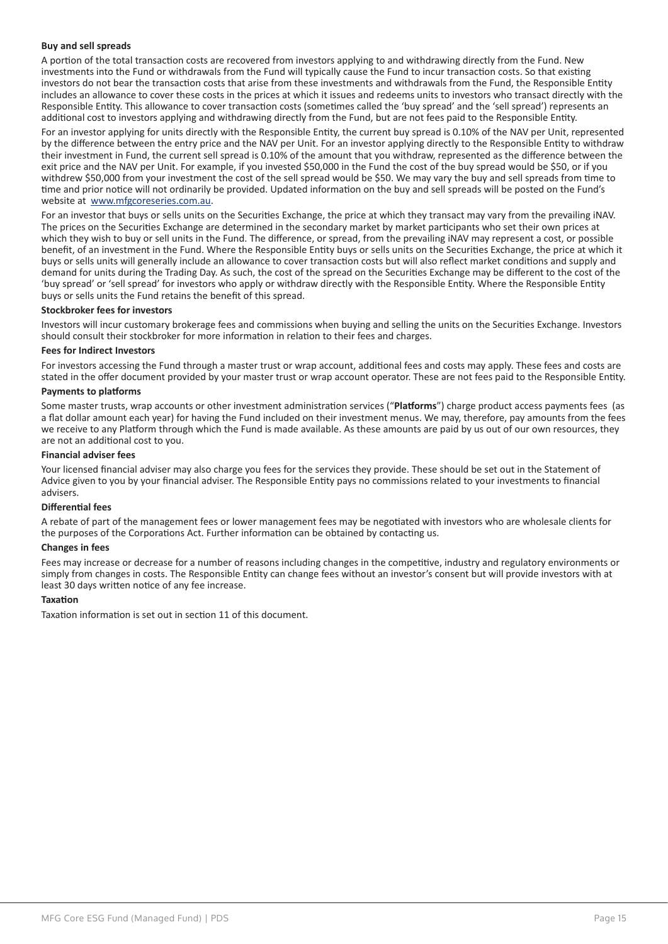#### **Buy and sell spreads**

A portion of the total transaction costs are recovered from investors applying to and withdrawing directly from the Fund. New investments into the Fund or withdrawals from the Fund will typically cause the Fund to incur transaction costs. So that existing investors do not bear the transaction costs that arise from these investments and withdrawals from the Fund, the Responsible Entity includes an allowance to cover these costs in the prices at which it issues and redeems units to investors who transact directly with the Responsible Entity. This allowance to cover transaction costs (sometimes called the 'buy spread' and the 'sell spread') represents an additional cost to investors applying and withdrawing directly from the Fund, but are not fees paid to the Responsible Entity.

For an investor applying for units directly with the Responsible Entity, the current buy spread is 0.10% of the NAV per Unit, represented by the difference between the entry price and the NAV per Unit. For an investor applying directly to the Responsible Entity to withdraw their investment in Fund, the current sell spread is 0.10% of the amount that you withdraw, represented as the difference between the exit price and the NAV per Unit. For example, if you invested \$50,000 in the Fund the cost of the buy spread would be \$50, or if you withdrew \$50,000 from your investment the cost of the sell spread would be \$50. We may vary the buy and sell spreads from time to time and prior notice will not ordinarily be provided. Updated information on the buy and sell spreads will be posted on the Fund's website at www.mfgcoreseries.com.au.

For an investor that buys or sells units on the Securities Exchange, the price at which they transact may vary from the prevailing iNAV. The prices on the Securities Exchange are determined in the secondary market by market participants who set their own prices at which they wish to buy or sell units in the Fund. The difference, or spread, from the prevailing iNAV may represent a cost, or possible benefit, of an investment in the Fund. Where the Responsible Entity buys or sells units on the Securities Exchange, the price at which it buys or sells units will generally include an allowance to cover transaction costs but will also reflect market conditions and supply and demand for units during the Trading Day. As such, the cost of the spread on the Securities Exchange may be different to the cost of the 'buy spread' or 'sell spread' for investors who apply or withdraw directly with the Responsible Entity. Where the Responsible Entity buys or sells units the Fund retains the benefit of this spread.

#### **Stockbroker fees for investors**

Investors will incur customary brokerage fees and commissions when buying and selling the units on the Securities Exchange. Investors should consult their stockbroker for more information in relation to their fees and charges.

#### **Fees for Indirect Investors**

For investors accessing the Fund through a master trust or wrap account, additional fees and costs may apply. These fees and costs are stated in the offer document provided by your master trust or wrap account operator. These are not fees paid to the Responsible Entity.

#### **Payments to platforms**

Some master trusts, wrap accounts or other investment administration services ("**Platforms**") charge product access payments fees (as a flat dollar amount each year) for having the Fund included on their investment menus. We may, therefore, pay amounts from the fees we receive to any Platform through which the Fund is made available. As these amounts are paid by us out of our own resources, they are not an additional cost to you.

#### **Financial adviser fees**

Your licensed financial adviser may also charge you fees for the services they provide. These should be set out in the Statement of Advice given to you by your financial adviser. The Responsible Entity pays no commissions related to your investments to financial advisers.

#### **Differential fees**

A rebate of part of the management fees or lower management fees may be negotiated with investors who are wholesale clients for the purposes of the Corporations Act. Further information can be obtained by contacting us.

#### **Changes in fees**

Fees may increase or decrease for a number of reasons including changes in the competitive, industry and regulatory environments or simply from changes in costs. The Responsible Entity can change fees without an investor's consent but will provide investors with at least 30 days written notice of any fee increase.

#### **Taxation**

Taxation information is set out in section 11 of this document.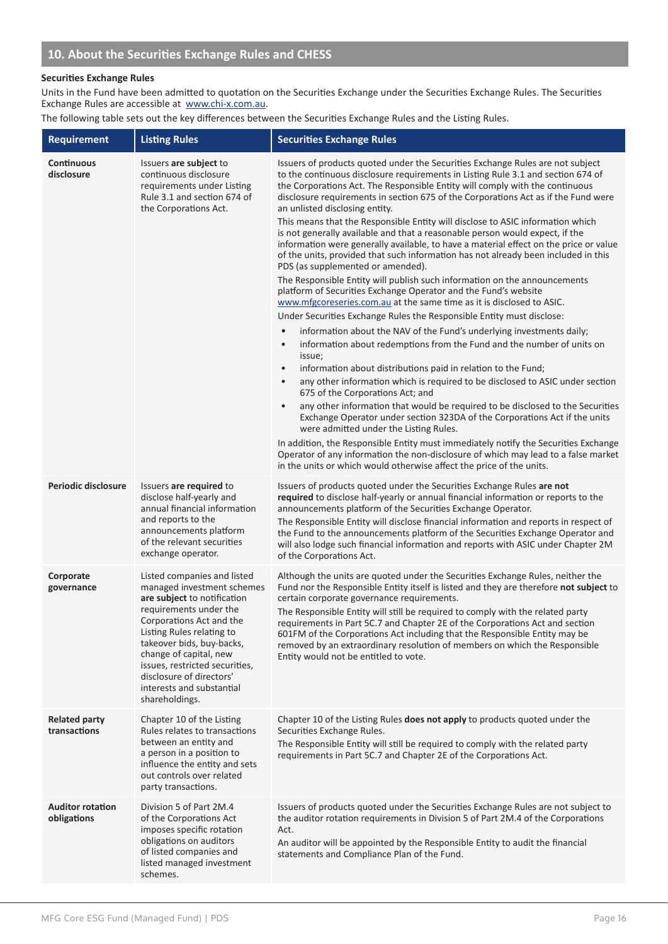#### **Securities Exchange Rules**

Units in the Fund have been admitted to quotation on the Securities Exchange under the Securities Exchange Rules. The Securities Exchange Rules are accessible at www.chi-x.com.au.

The following table sets out the key differences between the Securities Exchange Rules and the Listing Rules.

| <b>Requirement</b>                     | <b>Listing Rules</b>                                                                                                                                                                                                                                                                                                                            | <b>Securities Exchange Rules</b>                                                                                                                                                                                                                                                                                                                                                                                                                                                                                                                                                                                                                                                                                                                                                                                                                                                                                                                                                                                                                                                                                                                                                                                                                                                                                                                                                                                                                                                                                                                                                                                                                                                                                                                                                                                                                                                                               |
|----------------------------------------|-------------------------------------------------------------------------------------------------------------------------------------------------------------------------------------------------------------------------------------------------------------------------------------------------------------------------------------------------|----------------------------------------------------------------------------------------------------------------------------------------------------------------------------------------------------------------------------------------------------------------------------------------------------------------------------------------------------------------------------------------------------------------------------------------------------------------------------------------------------------------------------------------------------------------------------------------------------------------------------------------------------------------------------------------------------------------------------------------------------------------------------------------------------------------------------------------------------------------------------------------------------------------------------------------------------------------------------------------------------------------------------------------------------------------------------------------------------------------------------------------------------------------------------------------------------------------------------------------------------------------------------------------------------------------------------------------------------------------------------------------------------------------------------------------------------------------------------------------------------------------------------------------------------------------------------------------------------------------------------------------------------------------------------------------------------------------------------------------------------------------------------------------------------------------------------------------------------------------------------------------------------------------|
| <b>Continuous</b><br>disclosure        | Issuers are subject to<br>continuous disclosure<br>requirements under Listing<br>Rule 3.1 and section 674 of<br>the Corporations Act.                                                                                                                                                                                                           | Issuers of products quoted under the Securities Exchange Rules are not subject<br>to the continuous disclosure requirements in Listing Rule 3.1 and section 674 of<br>the Corporations Act. The Responsible Entity will comply with the continuous<br>disclosure requirements in section 675 of the Corporations Act as if the Fund were<br>an unlisted disclosing entity.<br>This means that the Responsible Entity will disclose to ASIC information which<br>is not generally available and that a reasonable person would expect, if the<br>information were generally available, to have a material effect on the price or value<br>of the units, provided that such information has not already been included in this<br>PDS (as supplemented or amended).<br>The Responsible Entity will publish such information on the announcements<br>platform of Securities Exchange Operator and the Fund's website<br>www.mfgcoreseries.com.au at the same time as it is disclosed to ASIC.<br>Under Securities Exchange Rules the Responsible Entity must disclose:<br>information about the NAV of the Fund's underlying investments daily;<br>information about redemptions from the Fund and the number of units on<br>issue;<br>information about distributions paid in relation to the Fund;<br>$\bullet$<br>any other information which is required to be disclosed to ASIC under section<br>$\bullet$<br>675 of the Corporations Act; and<br>any other information that would be required to be disclosed to the Securities<br>Exchange Operator under section 323DA of the Corporations Act if the units<br>were admitted under the Listing Rules.<br>In addition, the Responsible Entity must immediately notify the Securities Exchange<br>Operator of any information the non-disclosure of which may lead to a false market<br>in the units or which would otherwise affect the price of the units. |
| Periodic disclosure                    | Issuers are required to<br>disclose half-yearly and<br>annual financial information<br>and reports to the<br>announcements platform<br>of the relevant securities<br>exchange operator.                                                                                                                                                         | Issuers of products quoted under the Securities Exchange Rules are not<br>required to disclose half-yearly or annual financial information or reports to the<br>announcements platform of the Securities Exchange Operator.<br>The Responsible Entity will disclose financial information and reports in respect of<br>the Fund to the announcements platform of the Securities Exchange Operator and<br>will also lodge such financial information and reports with ASIC under Chapter 2M<br>of the Corporations Act.                                                                                                                                                                                                                                                                                                                                                                                                                                                                                                                                                                                                                                                                                                                                                                                                                                                                                                                                                                                                                                                                                                                                                                                                                                                                                                                                                                                         |
| Corporate<br>governance                | Listed companies and listed<br>managed investment schemes<br>are subject to notification<br>requirements under the<br>Corporations Act and the<br>Listing Rules relating to<br>takeover bids, buy-backs,<br>change of capital, new<br>issues, restricted securities,<br>disclosure of directors'<br>interests and substantial<br>shareholdings. | Although the units are quoted under the Securities Exchange Rules, neither the<br>Fund nor the Responsible Entity itself is listed and they are therefore not subject to<br>certain corporate governance requirements.<br>The Responsible Entity will still be required to comply with the related party<br>requirements in Part 5C.7 and Chapter 2E of the Corporations Act and section<br>601FM of the Corporations Act including that the Responsible Entity may be<br>removed by an extraordinary resolution of members on which the Responsible<br>Entity would not be entitled to vote.                                                                                                                                                                                                                                                                                                                                                                                                                                                                                                                                                                                                                                                                                                                                                                                                                                                                                                                                                                                                                                                                                                                                                                                                                                                                                                                  |
| <b>Related party</b><br>transactions   | Chapter 10 of the Listing<br>Rules relates to transactions<br>between an entity and<br>a person in a position to<br>influence the entity and sets<br>out controls over related<br>party transactions.                                                                                                                                           | Chapter 10 of the Listing Rules does not apply to products quoted under the<br>Securities Exchange Rules.<br>The Responsible Entity will still be required to comply with the related party<br>requirements in Part 5C.7 and Chapter 2E of the Corporations Act.                                                                                                                                                                                                                                                                                                                                                                                                                                                                                                                                                                                                                                                                                                                                                                                                                                                                                                                                                                                                                                                                                                                                                                                                                                                                                                                                                                                                                                                                                                                                                                                                                                               |
| <b>Auditor rotation</b><br>obligations | Division 5 of Part 2M.4<br>of the Corporations Act<br>imposes specific rotation<br>obligations on auditors<br>of listed companies and<br>listed managed investment<br>schemes.                                                                                                                                                                  | Issuers of products quoted under the Securities Exchange Rules are not subject to<br>the auditor rotation requirements in Division 5 of Part 2M.4 of the Corporations<br>Act.<br>An auditor will be appointed by the Responsible Entity to audit the financial<br>statements and Compliance Plan of the Fund.                                                                                                                                                                                                                                                                                                                                                                                                                                                                                                                                                                                                                                                                                                                                                                                                                                                                                                                                                                                                                                                                                                                                                                                                                                                                                                                                                                                                                                                                                                                                                                                                  |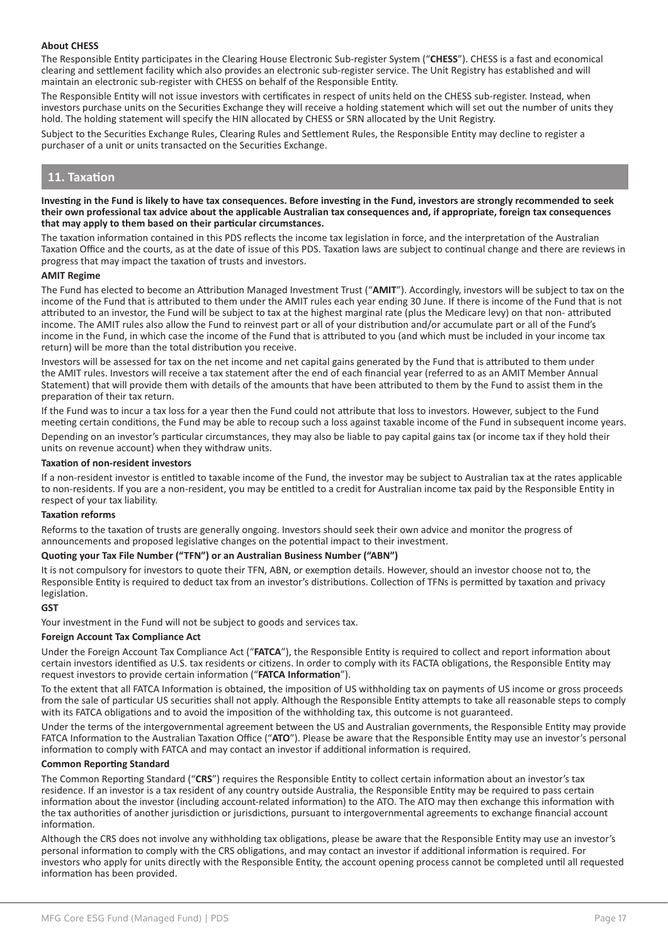#### **About CHESS**

The Responsible Entity participates in the Clearing House Electronic Sub-register System ("**CHESS**"). CHESS is a fast and economical clearing and settlement facility which also provides an electronic sub-register service. The Unit Registry has established and will maintain an electronic sub-register with CHESS on behalf of the Responsible Entity.

The Responsible Entity will not issue investors with certificates in respect of units held on the CHESS sub-register. Instead, when investors purchase units on the Securities Exchange they will receive a holding statement which will set out the number of units they hold. The holding statement will specify the HIN allocated by CHESS or SRN allocated by the Unit Registry.

Subject to the Securities Exchange Rules, Clearing Rules and Settlement Rules, the Responsible Entity may decline to register a purchaser of a unit or units transacted on the Securities Exchange.

# **11. Taxation**

#### **Investing in the Fund is likely to have tax consequences. Before investing in the Fund, investors are strongly recommended to seek their own professional tax advice about the applicable Australian tax consequences and, if appropriate, foreign tax consequences that may apply to them based on their particular circumstances.**

The taxation information contained in this PDS reflects the income tax legislation in force, and the interpretation of the Australian Taxation Office and the courts, as at the date of issue of this PDS. Taxation laws are subject to continual change and there are reviews in progress that may impact the taxation of trusts and investors.

#### **AMIT Regime**

The Fund has elected to become an Attribution Managed Investment Trust ("**AMIT**"). Accordingly, investors will be subject to tax on the income of the Fund that is attributed to them under the AMIT rules each year ending 30 June. If there is income of the Fund that is not attributed to an investor, the Fund will be subject to tax at the highest marginal rate (plus the Medicare levy) on that non- attributed income. The AMIT rules also allow the Fund to reinvest part or all of your distribution and/or accumulate part or all of the Fund's income in the Fund, in which case the income of the Fund that is attributed to you (and which must be included in your income tax return) will be more than the total distribution you receive.

Investors will be assessed for tax on the net income and net capital gains generated by the Fund that is attributed to them under the AMIT rules. Investors will receive a tax statement after the end of each financial year (referred to as an AMIT Member Annual Statement) that will provide them with details of the amounts that have been attributed to them by the Fund to assist them in the preparation of their tax return.

If the Fund was to incur a tax loss for a year then the Fund could not attribute that loss to investors. However, subject to the Fund meeting certain conditions, the Fund may be able to recoup such a loss against taxable income of the Fund in subsequent income years. Depending on an investor's particular circumstances, they may also be liable to pay capital gains tax (or income tax if they hold their units on revenue account) when they withdraw units.

#### **Taxation of non-resident investors**

If a non-resident investor is entitled to taxable income of the Fund, the investor may be subject to Australian tax at the rates applicable to non-residents. If you are a non-resident, you may be entitled to a credit for Australian income tax paid by the Responsible Entity in respect of your tax liability.

#### **Taxation reforms**

Reforms to the taxation of trusts are generally ongoing. Investors should seek their own advice and monitor the progress of announcements and proposed legislative changes on the potential impact to their investment.

#### **Quoting your Tax File Number ("TFN") or an Australian Business Number ("ABN")**

It is not compulsory for investors to quote their TFN, ABN, or exemption details. However, should an investor choose not to, the Responsible Entity is required to deduct tax from an investor's distributions. Collection of TFNs is permitted by taxation and privacy legislation.

#### **GST**

Your investment in the Fund will not be subject to goods and services tax.

#### **Foreign Account Tax Compliance Act**

Under the Foreign Account Tax Compliance Act ("**FATCA**"), the Responsible Entity is required to collect and report information about certain investors identified as U.S. tax residents or citizens. In order to comply with its FACTA obligations, the Responsible Entity may request investors to provide certain information ("**FATCA Information**").

To the extent that all FATCA Information is obtained, the imposition of US withholding tax on payments of US income or gross proceeds from the sale of particular US securities shall not apply. Although the Responsible Entity attempts to take all reasonable steps to comply with its FATCA obligations and to avoid the imposition of the withholding tax, this outcome is not guaranteed.

Under the terms of the intergovernmental agreement between the US and Australian governments, the Responsible Entity may provide FATCA Information to the Australian Taxation Office ("**ATO**"). Please be aware that the Responsible Entity may use an investor's personal information to comply with FATCA and may contact an investor if additional information is required.

#### **Common Reporting Standard**

The Common Reporting Standard ("**CRS**") requires the Responsible Entity to collect certain information about an investor's tax residence. If an investor is a tax resident of any country outside Australia, the Responsible Entity may be required to pass certain information about the investor (including account-related information) to the ATO. The ATO may then exchange this information with the tax authorities of another jurisdiction or jurisdictions, pursuant to intergovernmental agreements to exchange financial account information.

Although the CRS does not involve any withholding tax obligations, please be aware that the Responsible Entity may use an investor's personal information to comply with the CRS obligations, and may contact an investor if additional information is required. For investors who apply for units directly with the Responsible Entity, the account opening process cannot be completed until all requested information has been provided.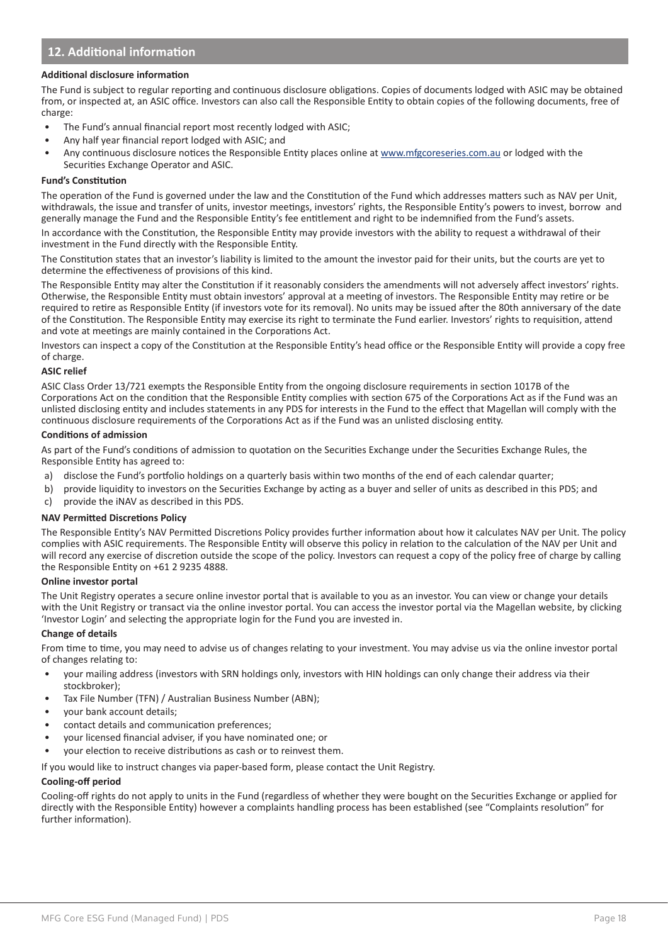# **12. Additional information**

#### **Additional disclosure information**

The Fund is subject to regular reporting and continuous disclosure obligations. Copies of documents lodged with ASIC may be obtained from, or inspected at, an ASIC office. Investors can also call the Responsible Entity to obtain copies of the following documents, free of charge:

- The Fund's annual financial report most recently lodged with ASIC;
- Any half year financial report lodged with ASIC; and
- Any continuous disclosure notices the Responsible Entity places online at www.mfgcoreseries.com.au or lodged with the Securities Exchange Operator and ASIC.

#### **Fund's Constitution**

The operation of the Fund is governed under the law and the Constitution of the Fund which addresses matters such as NAV per Unit, withdrawals, the issue and transfer of units, investor meetings, investors' rights, the Responsible Entity's powers to invest, borrow and generally manage the Fund and the Responsible Entity's fee entitlement and right to be indemnified from the Fund's assets.

In accordance with the Constitution, the Responsible Entity may provide investors with the ability to request a withdrawal of their investment in the Fund directly with the Responsible Entity.

The Constitution states that an investor's liability is limited to the amount the investor paid for their units, but the courts are yet to determine the effectiveness of provisions of this kind.

The Responsible Entity may alter the Constitution if it reasonably considers the amendments will not adversely affect investors' rights. Otherwise, the Responsible Entity must obtain investors' approval at a meeting of investors. The Responsible Entity may retire or be required to retire as Responsible Entity (if investors vote for its removal). No units may be issued after the 80th anniversary of the date of the Constitution. The Responsible Entity may exercise its right to terminate the Fund earlier. Investors' rights to requisition, attend and vote at meetings are mainly contained in the Corporations Act.

Investors can inspect a copy of the Constitution at the Responsible Entity's head office or the Responsible Entity will provide a copy free of charge.

#### **ASIC relief**

ASIC Class Order 13/721 exempts the Responsible Entity from the ongoing disclosure requirements in section 1017B of the Corporations Act on the condition that the Responsible Entity complies with section 675 of the Corporations Act as if the Fund was an unlisted disclosing entity and includes statements in any PDS for interests in the Fund to the effect that Magellan will comply with the continuous disclosure requirements of the Corporations Act as if the Fund was an unlisted disclosing entity.

#### **Conditions of admission**

As part of the Fund's conditions of admission to quotation on the Securities Exchange under the Securities Exchange Rules, the Responsible Entity has agreed to:

- a) disclose the Fund's portfolio holdings on a quarterly basis within two months of the end of each calendar quarter;
- b) provide liquidity to investors on the Securities Exchange by acting as a buyer and seller of units as described in this PDS; and
- c) provide the iNAV as described in this PDS.

#### **NAV Permitted Discretions Policy**

The Responsible Entity's NAV Permitted Discretions Policy provides further information about how it calculates NAV per Unit. The policy complies with ASIC requirements. The Responsible Entity will observe this policy in relation to the calculation of the NAV per Unit and will record any exercise of discretion outside the scope of the policy. Investors can request a copy of the policy free of charge by calling the Responsible Entity on +61 2 9235 4888.

#### **Online investor portal**

The Unit Registry operates a secure online investor portal that is available to you as an investor. You can view or change your details with the Unit Registry or transact via the online investor portal. You can access the investor portal via the Magellan website, by clicking 'Investor Login' and selecting the appropriate login for the Fund you are invested in.

#### **Change of details**

From time to time, you may need to advise us of changes relating to your investment. You may advise us via the online investor portal of changes relating to:

- your mailing address (investors with SRN holdings only, investors with HIN holdings can only change their address via their stockbroker);
- Tax File Number (TFN) / Australian Business Number (ABN);
- your bank account details;
- contact details and communication preferences;
- your licensed financial adviser, if you have nominated one; or
- your election to receive distributions as cash or to reinvest them.

If you would like to instruct changes via paper-based form, please contact the Unit Registry.

#### **Cooling-off period**

Cooling-off rights do not apply to units in the Fund (regardless of whether they were bought on the Securities Exchange or applied for directly with the Responsible Entity) however a complaints handling process has been established (see "Complaints resolution" for further information).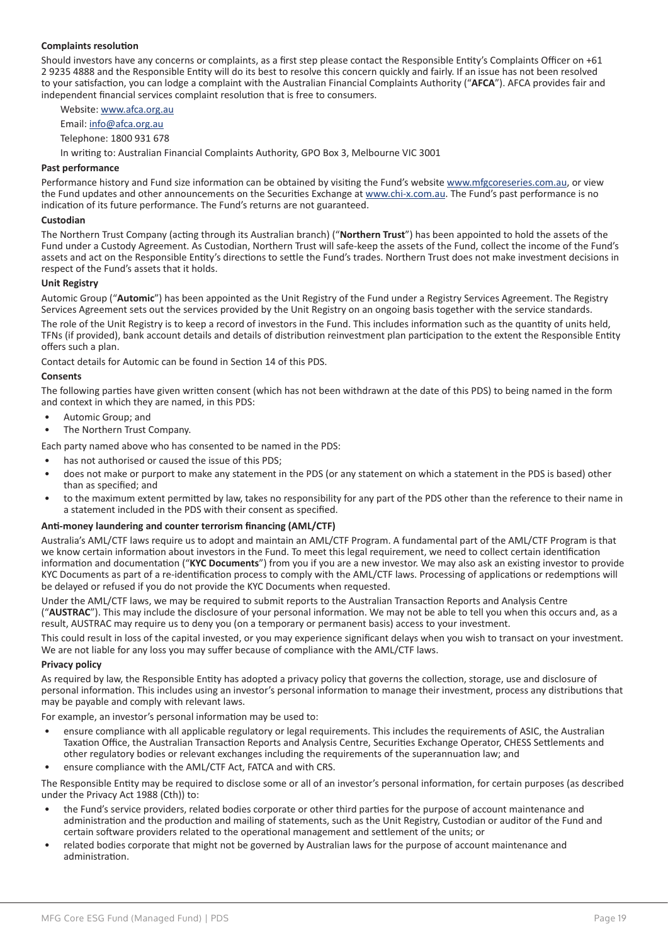#### **Complaints resolution**

Should investors have any concerns or complaints, as a first step please contact the Responsible Entity's Complaints Officer on +61 2 9235 4888 and the Responsible Entity will do its best to resolve this concern quickly and fairly. If an issue has not been resolved to your satisfaction, you can lodge a complaint with the Australian Financial Complaints Authority ("**AFCA**"). AFCA provides fair and independent financial services complaint resolution that is free to consumers.

Website: www.afca.org.au

Email: info@afca.org.au

Telephone: 1800 931 678

In writing to: Australian Financial Complaints Authority, GPO Box 3, Melbourne VIC 3001

#### **Past performance**

Performance history and Fund size information can be obtained by visiting the Fund's website www.mfgcoreseries.com.au, or view the Fund updates and other announcements on the Securities Exchange at www.chi-x.com.au. The Fund's past performance is no indication of its future performance. The Fund's returns are not guaranteed.

#### **Custodian**

The Northern Trust Company (acting through its Australian branch) ("**Northern Trust**") has been appointed to hold the assets of the Fund under a Custody Agreement. As Custodian, Northern Trust will safe-keep the assets of the Fund, collect the income of the Fund's assets and act on the Responsible Entity's directions to settle the Fund's trades. Northern Trust does not make investment decisions in respect of the Fund's assets that it holds.

#### **Unit Registry**

Automic Group ("**Automic**") has been appointed as the Unit Registry of the Fund under a Registry Services Agreement. The Registry Services Agreement sets out the services provided by the Unit Registry on an ongoing basis together with the service standards.

The role of the Unit Registry is to keep a record of investors in the Fund. This includes information such as the quantity of units held, TFNs (if provided), bank account details and details of distribution reinvestment plan participation to the extent the Responsible Entity offers such a plan.

Contact details for Automic can be found in Section 14 of this PDS.

#### **Consents**

The following parties have given written consent (which has not been withdrawn at the date of this PDS) to being named in the form and context in which they are named, in this PDS:

- Automic Group; and
- The Northern Trust Company.

Each party named above who has consented to be named in the PDS:

- has not authorised or caused the issue of this PDS;
- does not make or purport to make any statement in the PDS (or any statement on which a statement in the PDS is based) other than as specified; and
- to the maximum extent permitted by law, takes no responsibility for any part of the PDS other than the reference to their name in a statement included in the PDS with their consent as specified.

#### **Anti-money laundering and counter terrorism financing (AML/CTF)**

Australia's AML/CTF laws require us to adopt and maintain an AML/CTF Program. A fundamental part of the AML/CTF Program is that we know certain information about investors in the Fund. To meet this legal requirement, we need to collect certain identification information and documentation ("**KYC Documents**") from you if you are a new investor. We may also ask an existing investor to provide KYC Documents as part of a re-identification process to comply with the AML/CTF laws. Processing of applications or redemptions will be delayed or refused if you do not provide the KYC Documents when requested.

Under the AML/CTF laws, we may be required to submit reports to the Australian Transaction Reports and Analysis Centre ("**AUSTRAC**"). This may include the disclosure of your personal information. We may not be able to tell you when this occurs and, as a result, AUSTRAC may require us to deny you (on a temporary or permanent basis) access to your investment.

This could result in loss of the capital invested, or you may experience significant delays when you wish to transact on your investment. We are not liable for any loss you may suffer because of compliance with the AML/CTF laws.

#### **Privacy policy**

As required by law, the Responsible Entity has adopted a privacy policy that governs the collection, storage, use and disclosure of personal information. This includes using an investor's personal information to manage their investment, process any distributions that may be payable and comply with relevant laws.

For example, an investor's personal information may be used to:

- ensure compliance with all applicable regulatory or legal requirements. This includes the requirements of ASIC, the Australian Taxation Office, the Australian Transaction Reports and Analysis Centre, Securities Exchange Operator, CHESS Settlements and other regulatory bodies or relevant exchanges including the requirements of the superannuation law; and
- ensure compliance with the AML/CTF Act, FATCA and with CRS.

The Responsible Entity may be required to disclose some or all of an investor's personal information, for certain purposes (as described under the Privacy Act 1988 (Cth)) to:

- the Fund's service providers, related bodies corporate or other third parties for the purpose of account maintenance and administration and the production and mailing of statements, such as the Unit Registry, Custodian or auditor of the Fund and certain software providers related to the operational management and settlement of the units; or
- related bodies corporate that might not be governed by Australian laws for the purpose of account maintenance and administration.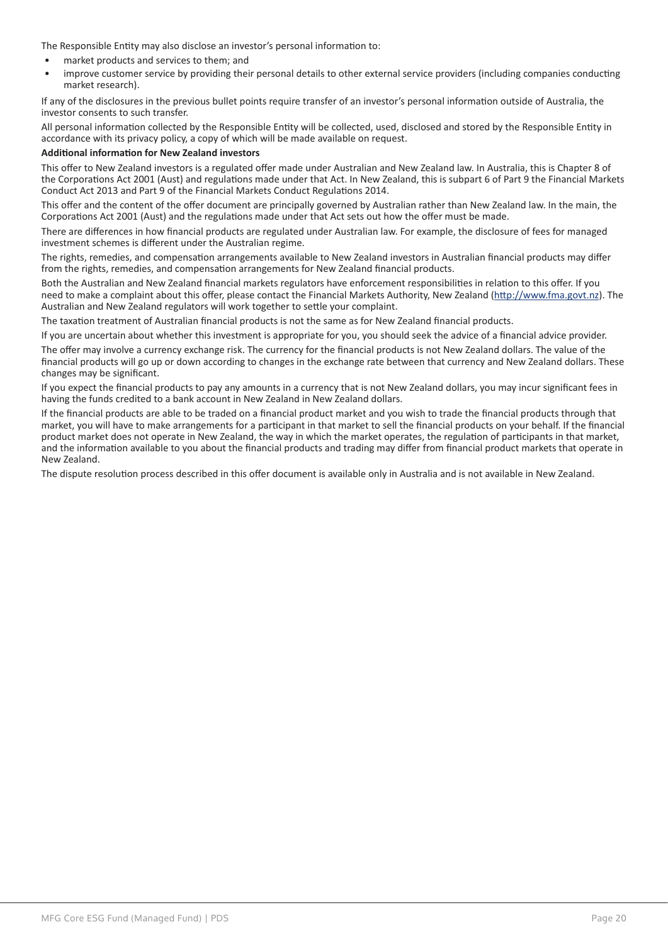The Responsible Entity may also disclose an investor's personal information to:

- market products and services to them; and
- improve customer service by providing their personal details to other external service providers (including companies conducting market research).

If any of the disclosures in the previous bullet points require transfer of an investor's personal information outside of Australia, the investor consents to such transfer.

All personal information collected by the Responsible Entity will be collected, used, disclosed and stored by the Responsible Entity in accordance with its privacy policy, a copy of which will be made available on request.

#### **Additional information for New Zealand investors**

This offer to New Zealand investors is a regulated offer made under Australian and New Zealand law. In Australia, this is Chapter 8 of the Corporations Act 2001 (Aust) and regulations made under that Act. In New Zealand, this is subpart 6 of Part 9 the Financial Markets Conduct Act 2013 and Part 9 of the Financial Markets Conduct Regulations 2014.

This offer and the content of the offer document are principally governed by Australian rather than New Zealand law. In the main, the Corporations Act 2001 (Aust) and the regulations made under that Act sets out how the offer must be made.

There are differences in how financial products are regulated under Australian law. For example, the disclosure of fees for managed investment schemes is different under the Australian regime.

The rights, remedies, and compensation arrangements available to New Zealand investors in Australian financial products may differ from the rights, remedies, and compensation arrangements for New Zealand financial products.

Both the Australian and New Zealand financial markets regulators have enforcement responsibilities in relation to this offer. If you need to make a complaint about this offer, please contact the Financial Markets Authority, New Zealand (http://www.fma.govt.nz). The Australian and New Zealand regulators will work together to settle your complaint.

The taxation treatment of Australian financial products is not the same as for New Zealand financial products.

If you are uncertain about whether this investment is appropriate for you, you should seek the advice of a financial advice provider.

The offer may involve a currency exchange risk. The currency for the financial products is not New Zealand dollars. The value of the financial products will go up or down according to changes in the exchange rate between that currency and New Zealand dollars. These changes may be significant.

If you expect the financial products to pay any amounts in a currency that is not New Zealand dollars, you may incur significant fees in having the funds credited to a bank account in New Zealand in New Zealand dollars.

If the financial products are able to be traded on a financial product market and you wish to trade the financial products through that market, you will have to make arrangements for a participant in that market to sell the financial products on your behalf. If the financial product market does not operate in New Zealand, the way in which the market operates, the regulation of participants in that market, and the information available to you about the financial products and trading may differ from financial product markets that operate in New Zealand.

The dispute resolution process described in this offer document is available only in Australia and is not available in New Zealand.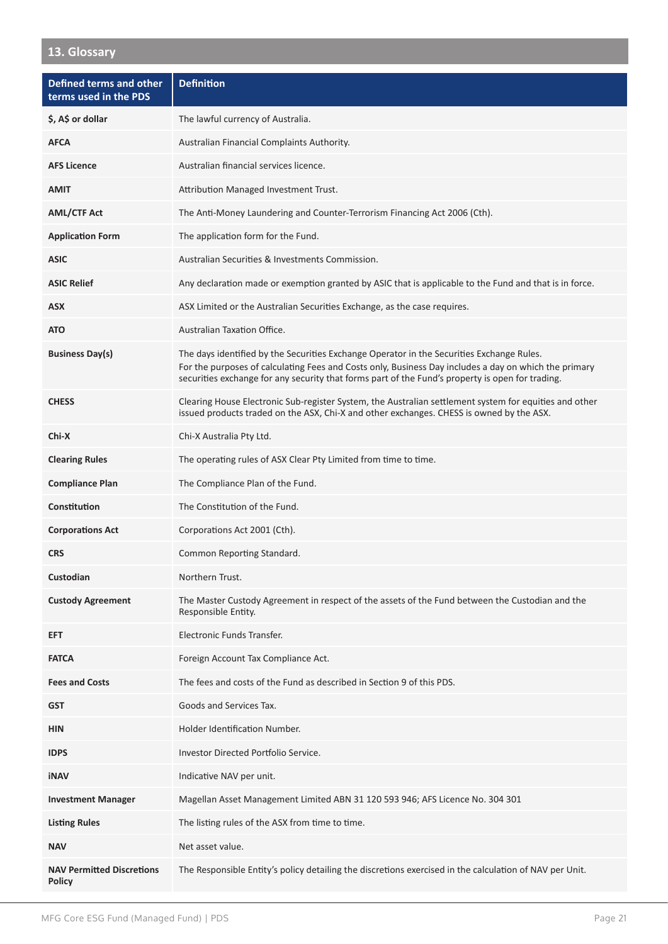# **13. Glossary**

| <b>Defined terms and other</b><br>terms used in the PDS | <b>Definition</b>                                                                                                                                                                                                                                                                                      |
|---------------------------------------------------------|--------------------------------------------------------------------------------------------------------------------------------------------------------------------------------------------------------------------------------------------------------------------------------------------------------|
| \$, A\$ or dollar                                       | The lawful currency of Australia.                                                                                                                                                                                                                                                                      |
| <b>AFCA</b>                                             | Australian Financial Complaints Authority.                                                                                                                                                                                                                                                             |
| <b>AFS Licence</b>                                      | Australian financial services licence.                                                                                                                                                                                                                                                                 |
| <b>AMIT</b>                                             | Attribution Managed Investment Trust.                                                                                                                                                                                                                                                                  |
| <b>AML/CTF Act</b>                                      | The Anti-Money Laundering and Counter-Terrorism Financing Act 2006 (Cth).                                                                                                                                                                                                                              |
| <b>Application Form</b>                                 | The application form for the Fund.                                                                                                                                                                                                                                                                     |
| <b>ASIC</b>                                             | Australian Securities & Investments Commission.                                                                                                                                                                                                                                                        |
| <b>ASIC Relief</b>                                      | Any declaration made or exemption granted by ASIC that is applicable to the Fund and that is in force.                                                                                                                                                                                                 |
| ASX                                                     | ASX Limited or the Australian Securities Exchange, as the case requires.                                                                                                                                                                                                                               |
| <b>ATO</b>                                              | Australian Taxation Office.                                                                                                                                                                                                                                                                            |
| <b>Business Day(s)</b>                                  | The days identified by the Securities Exchange Operator in the Securities Exchange Rules.<br>For the purposes of calculating Fees and Costs only, Business Day includes a day on which the primary<br>securities exchange for any security that forms part of the Fund's property is open for trading. |
| <b>CHESS</b>                                            | Clearing House Electronic Sub-register System, the Australian settlement system for equities and other<br>issued products traded on the ASX, Chi-X and other exchanges. CHESS is owned by the ASX.                                                                                                     |
| Chi-X                                                   | Chi-X Australia Pty Ltd.                                                                                                                                                                                                                                                                               |
| <b>Clearing Rules</b>                                   | The operating rules of ASX Clear Pty Limited from time to time.                                                                                                                                                                                                                                        |
| <b>Compliance Plan</b>                                  | The Compliance Plan of the Fund.                                                                                                                                                                                                                                                                       |
| Constitution                                            | The Constitution of the Fund.                                                                                                                                                                                                                                                                          |
| <b>Corporations Act</b>                                 | Corporations Act 2001 (Cth).                                                                                                                                                                                                                                                                           |
| <b>CRS</b>                                              | Common Reporting Standard.                                                                                                                                                                                                                                                                             |
| Custodian                                               | Northern Trust.                                                                                                                                                                                                                                                                                        |
| <b>Custody Agreement</b>                                | The Master Custody Agreement in respect of the assets of the Fund between the Custodian and the<br>Responsible Entity.                                                                                                                                                                                 |
| <b>EFT</b>                                              | Electronic Funds Transfer.                                                                                                                                                                                                                                                                             |
| <b>FATCA</b>                                            | Foreign Account Tax Compliance Act.                                                                                                                                                                                                                                                                    |
| <b>Fees and Costs</b>                                   | The fees and costs of the Fund as described in Section 9 of this PDS.                                                                                                                                                                                                                                  |
| <b>GST</b>                                              | Goods and Services Tax.                                                                                                                                                                                                                                                                                |
| <b>HIN</b>                                              | Holder Identification Number.                                                                                                                                                                                                                                                                          |
| <b>IDPS</b>                                             | <b>Investor Directed Portfolio Service.</b>                                                                                                                                                                                                                                                            |
| iNAV                                                    | Indicative NAV per unit.                                                                                                                                                                                                                                                                               |
| <b>Investment Manager</b>                               | Magellan Asset Management Limited ABN 31 120 593 946; AFS Licence No. 304 301                                                                                                                                                                                                                          |
| <b>Listing Rules</b>                                    | The listing rules of the ASX from time to time.                                                                                                                                                                                                                                                        |
| <b>NAV</b>                                              | Net asset value.                                                                                                                                                                                                                                                                                       |
| <b>NAV Permitted Discretions</b><br><b>Policy</b>       | The Responsible Entity's policy detailing the discretions exercised in the calculation of NAV per Unit.                                                                                                                                                                                                |